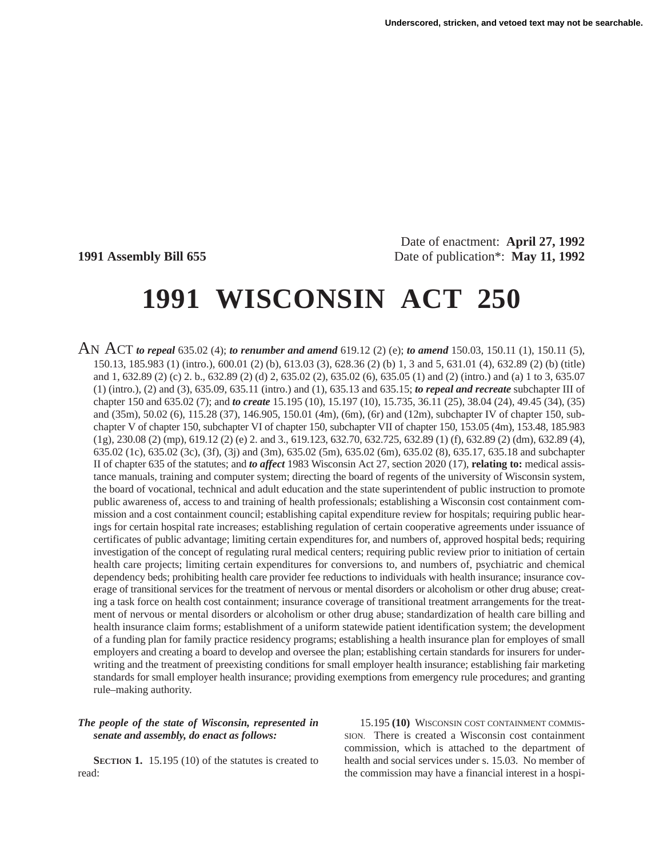Date of enactment: **April 27, 1992 1991 Assembly Bill 655** Date of publication\*: **May 11, 1992**

# **1991 WISCONSIN ACT 250**

AN ACT *to repeal* 635.02 (4); *to renumber and amend* 619.12 (2) (e); *to amend* 150.03, 150.11 (1), 150.11 (5), 150.13, 185.983 (1) (intro.), 600.01 (2) (b), 613.03 (3), 628.36 (2) (b) 1, 3 and 5, 631.01 (4), 632.89 (2) (b) (title) and 1, 632.89 (2) (c) 2. b., 632.89 (2) (d) 2, 635.02 (2), 635.02 (6), 635.05 (1) and (2) (intro.) and (a) 1 to 3, 635.07 (1) (intro.), (2) and (3), 635.09, 635.11 (intro.) and (1), 635.13 and 635.15; *to repeal and recreate* subchapter III of chapter 150 and 635.02 (7); and *to create* 15.195 (10), 15.197 (10), 15.735, 36.11 (25), 38.04 (24), 49.45 (34), (35) and (35m), 50.02 (6), 115.28 (37), 146.905, 150.01 (4m), (6m), (6r) and (12m), subchapter IV of chapter 150, subchapter V of chapter 150, subchapter VI of chapter 150, subchapter VII of chapter 150, 153.05 (4m), 153.48, 185.983 (1g), 230.08 (2) (mp), 619.12 (2) (e) 2. and 3., 619.123, 632.70, 632.725, 632.89 (1) (f), 632.89 (2) (dm), 632.89 (4), 635.02 (1c), 635.02 (3c), (3f), (3j) and (3m), 635.02 (5m), 635.02 (6m), 635.02 (8), 635.17, 635.18 and subchapter II of chapter 635 of the statutes; and *to affect* 1983 Wisconsin Act 27, section 2020 (17), **relating to:** medical assistance manuals, training and computer system; directing the board of regents of the university of Wisconsin system, the board of vocational, technical and adult education and the state superintendent of public instruction to promote public awareness of, access to and training of health professionals; establishing a Wisconsin cost containment commission and a cost containment council; establishing capital expenditure review for hospitals; requiring public hearings for certain hospital rate increases; establishing regulation of certain cooperative agreements under issuance of certificates of public advantage; limiting certain expenditures for, and numbers of, approved hospital beds; requiring investigation of the concept of regulating rural medical centers; requiring public review prior to initiation of certain health care projects; limiting certain expenditures for conversions to, and numbers of, psychiatric and chemical dependency beds; prohibiting health care provider fee reductions to individuals with health insurance; insurance coverage of transitional services for the treatment of nervous or mental disorders or alcoholism or other drug abuse; creating a task force on health cost containment; insurance coverage of transitional treatment arrangements for the treatment of nervous or mental disorders or alcoholism or other drug abuse; standardization of health care billing and health insurance claim forms; establishment of a uniform statewide patient identification system; the development of a funding plan for family practice residency programs; establishing a health insurance plan for employes of small employers and creating a board to develop and oversee the plan; establishing certain standards for insurers for underwriting and the treatment of preexisting conditions for small employer health insurance; establishing fair marketing standards for small employer health insurance; providing exemptions from emergency rule procedures; and granting rule–making authority.

# *The people of the state of Wisconsin, represented in senate and assembly, do enact as follows:*

**SECTION 1.** 15.195 (10) of the statutes is created to read:

15.195 **(10)** WISCONSIN COST CONTAINMENT COMMIS-SION. There is created a Wisconsin cost containment commission, which is attached to the department of health and social services under s. 15.03. No member of the commission may have a financial interest in a hospi-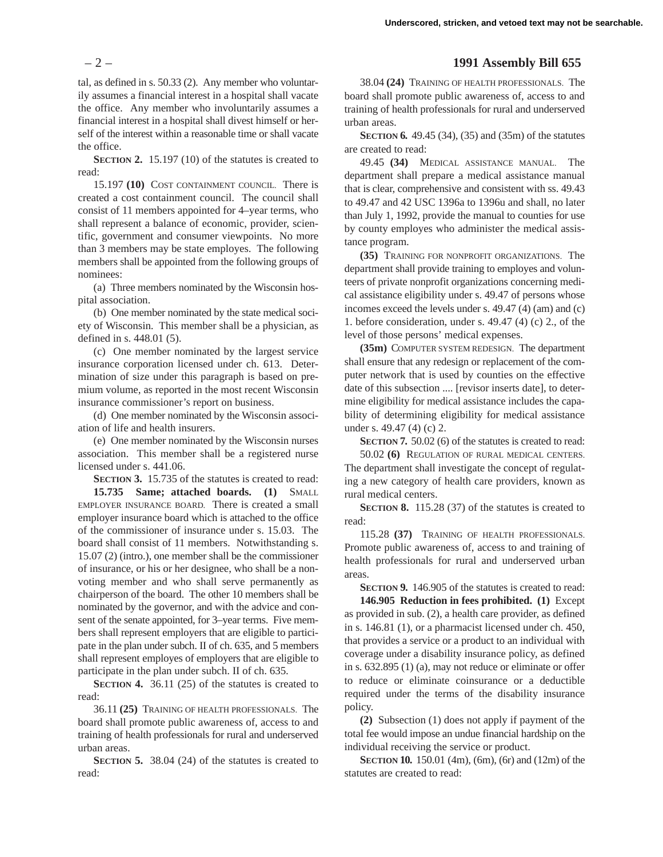tal, as defined in s. 50.33 (2). Any member who voluntarily assumes a financial interest in a hospital shall vacate the office. Any member who involuntarily assumes a financial interest in a hospital shall divest himself or herself of the interest within a reasonable time or shall vacate the office.

**SECTION 2.** 15.197 (10) of the statutes is created to read:

15.197 **(10)** COST CONTAINMENT COUNCIL. There is created a cost containment council. The council shall consist of 11 members appointed for 4–year terms, who shall represent a balance of economic, provider, scientific, government and consumer viewpoints. No more than 3 members may be state employes. The following members shall be appointed from the following groups of nominees:

(a) Three members nominated by the Wisconsin hospital association.

(b) One member nominated by the state medical society of Wisconsin. This member shall be a physician, as defined in s. 448.01 (5).

(c) One member nominated by the largest service insurance corporation licensed under ch. 613. Determination of size under this paragraph is based on premium volume, as reported in the most recent Wisconsin insurance commissioner's report on business.

(d) One member nominated by the Wisconsin association of life and health insurers.

(e) One member nominated by the Wisconsin nurses association. This member shall be a registered nurse licensed under s. 441.06.

**SECTION 3.** 15.735 of the statutes is created to read: **15.735 Same; attached boards. (1)** SMALL EMPLOYER INSURANCE BOARD. There is created a small employer insurance board which is attached to the office of the commissioner of insurance under s. 15.03. The board shall consist of 11 members. Notwithstanding s. 15.07 (2) (intro.), one member shall be the commissioner of insurance, or his or her designee, who shall be a nonvoting member and who shall serve permanently as chairperson of the board. The other 10 members shall be nominated by the governor, and with the advice and consent of the senate appointed, for 3–year terms. Five members shall represent employers that are eligible to participate in the plan under subch. II of ch. 635, and 5 members shall represent employes of employers that are eligible to participate in the plan under subch. II of ch. 635.

**SECTION 4.** 36.11 (25) of the statutes is created to read:

36.11 **(25)** TRAINING OF HEALTH PROFESSIONALS. The board shall promote public awareness of, access to and training of health professionals for rural and underserved urban areas.

**SECTION 5.** 38.04 (24) of the statutes is created to read:

# – 2 – **1991 Assembly Bill 655**

38.04 **(24)** TRAINING OF HEALTH PROFESSIONALS. The board shall promote public awareness of, access to and training of health professionals for rural and underserved urban areas.

**SECTION 6.** 49.45 (34), (35) and (35m) of the statutes are created to read:

49.45 **(34)** MEDICAL ASSISTANCE MANUAL. The department shall prepare a medical assistance manual that is clear, comprehensive and consistent with ss. 49.43 to 49.47 and 42 USC 1396a to 1396u and shall, no later than July 1, 1992, provide the manual to counties for use by county employes who administer the medical assistance program.

**(35)** TRAINING FOR NONPROFIT ORGANIZATIONS. The department shall provide training to employes and volunteers of private nonprofit organizations concerning medical assistance eligibility under s. 49.47 of persons whose incomes exceed the levels under s. 49.47 (4) (am) and (c) 1. before consideration, under s. 49.47 (4) (c) 2., of the level of those persons' medical expenses.

**(35m)** COMPUTER SYSTEM REDESIGN. The department shall ensure that any redesign or replacement of the computer network that is used by counties on the effective date of this subsection .... [revisor inserts date], to determine eligibility for medical assistance includes the capability of determining eligibility for medical assistance under s. 49.47 (4) (c) 2.

**SECTION 7.** 50.02 (6) of the statutes is created to read:

50.02 **(6)** REGULATION OF RURAL MEDICAL CENTERS. The department shall investigate the concept of regulating a new category of health care providers, known as rural medical centers.

**SECTION 8.** 115.28 (37) of the statutes is created to read:

115.28 **(37)** TRAINING OF HEALTH PROFESSIONALS. Promote public awareness of, access to and training of health professionals for rural and underserved urban areas.

**SECTION 9.** 146.905 of the statutes is created to read:

**146.905 Reduction in fees prohibited. (1)** Except as provided in sub. (2), a health care provider, as defined in s. 146.81 (1), or a pharmacist licensed under ch. 450, that provides a service or a product to an individual with coverage under a disability insurance policy, as defined in s. 632.895 (1) (a), may not reduce or eliminate or offer to reduce or eliminate coinsurance or a deductible required under the terms of the disability insurance policy.

**(2)** Subsection (1) does not apply if payment of the total fee would impose an undue financial hardship on the individual receiving the service or product.

**SECTION 10.** 150.01 (4m), (6m), (6r) and (12m) of the statutes are created to read: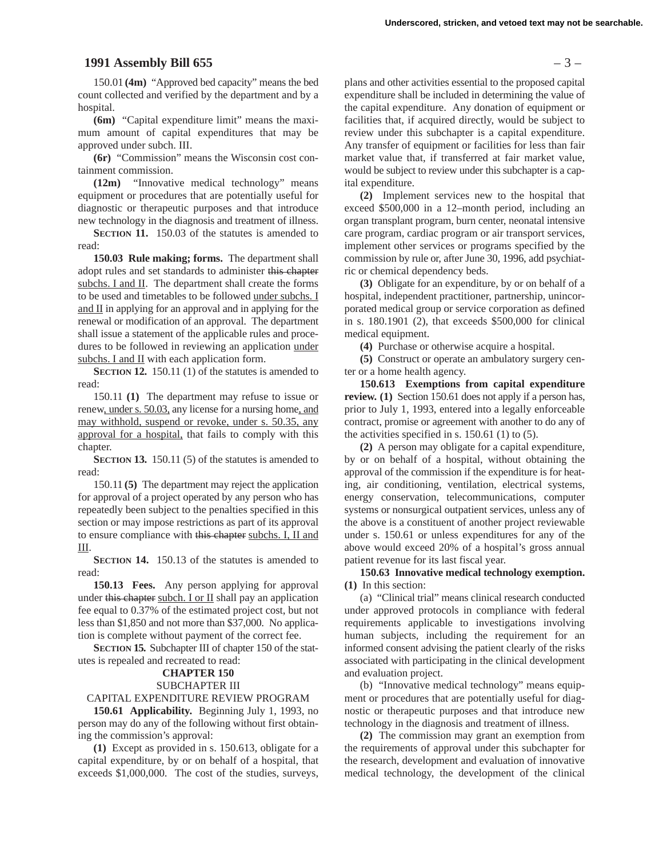## **1991 Assembly Bill 655** – 3 –

150.01 **(4m)** "Approved bed capacity" means the bed count collected and verified by the department and by a hospital.

**(6m)** "Capital expenditure limit" means the maximum amount of capital expenditures that may be approved under subch. III.

**(6r)** "Commission" means the Wisconsin cost containment commission.

**(12m)** "Innovative medical technology" means equipment or procedures that are potentially useful for diagnostic or therapeutic purposes and that introduce new technology in the diagnosis and treatment of illness.

**SECTION 11.** 150.03 of the statutes is amended to read:

**150.03 Rule making; forms.** The department shall adopt rules and set standards to administer this chapter subchs. I and II. The department shall create the forms to be used and timetables to be followed under subchs. I and II in applying for an approval and in applying for the renewal or modification of an approval. The department shall issue a statement of the applicable rules and procedures to be followed in reviewing an application under subchs. I and II with each application form.

**SECTION 12.** 150.11 (1) of the statutes is amended to read:

150.11 **(1)** The department may refuse to issue or renew, under s. 50.03, any license for a nursing home, and may withhold, suspend or revoke, under s. 50.35, any approval for a hospital, that fails to comply with this chapter.

**SECTION 13.** 150.11 (5) of the statutes is amended to read:

150.11 **(5)** The department may reject the application for approval of a project operated by any person who has repeatedly been subject to the penalties specified in this section or may impose restrictions as part of its approval to ensure compliance with this chapter subchs. I, II and III.

**SECTION 14.** 150.13 of the statutes is amended to read:

**150.13 Fees.** Any person applying for approval under this chapter subch. I or  $II$  shall pay an application fee equal to 0.37% of the estimated project cost, but not less than \$1,850 and not more than \$37,000. No application is complete without payment of the correct fee.

**SECTION 15.** Subchapter III of chapter 150 of the statutes is repealed and recreated to read:

#### **CHAPTER 150**

#### SUBCHAPTER III

#### CAPITAL EXPENDITURE REVIEW PROGRAM

**150.61 Applicability.** Beginning July 1, 1993, no person may do any of the following without first obtaining the commission's approval:

**(1)** Except as provided in s. 150.613, obligate for a capital expenditure, by or on behalf of a hospital, that exceeds \$1,000,000. The cost of the studies, surveys,

plans and other activities essential to the proposed capital expenditure shall be included in determining the value of the capital expenditure. Any donation of equipment or facilities that, if acquired directly, would be subject to review under this subchapter is a capital expenditure. Any transfer of equipment or facilities for less than fair market value that, if transferred at fair market value, would be subject to review under this subchapter is a capital expenditure.

**(2)** Implement services new to the hospital that exceed \$500,000 in a 12–month period, including an organ transplant program, burn center, neonatal intensive care program, cardiac program or air transport services, implement other services or programs specified by the commission by rule or, after June 30, 1996, add psychiatric or chemical dependency beds.

**(3)** Obligate for an expenditure, by or on behalf of a hospital, independent practitioner, partnership, unincorporated medical group or service corporation as defined in s. 180.1901 (2), that exceeds \$500,000 for clinical medical equipment.

**(4)** Purchase or otherwise acquire a hospital.

**(5)** Construct or operate an ambulatory surgery center or a home health agency.

**150.613 Exemptions from capital expenditure review.** (1) Section 150.61 does not apply if a person has, prior to July 1, 1993, entered into a legally enforceable contract, promise or agreement with another to do any of the activities specified in s.  $150.61$  (1) to (5).

**(2)** A person may obligate for a capital expenditure, by or on behalf of a hospital, without obtaining the approval of the commission if the expenditure is for heating, air conditioning, ventilation, electrical systems, energy conservation, telecommunications, computer systems or nonsurgical outpatient services, unless any of the above is a constituent of another project reviewable under s. 150.61 or unless expenditures for any of the above would exceed 20% of a hospital's gross annual patient revenue for its last fiscal year.

## **150.63 Innovative medical technology exemption. (1)** In this section:

(a) "Clinical trial" means clinical research conducted under approved protocols in compliance with federal requirements applicable to investigations involving human subjects, including the requirement for an informed consent advising the patient clearly of the risks associated with participating in the clinical development and evaluation project.

(b) "Innovative medical technology" means equipment or procedures that are potentially useful for diagnostic or therapeutic purposes and that introduce new technology in the diagnosis and treatment of illness.

**(2)** The commission may grant an exemption from the requirements of approval under this subchapter for the research, development and evaluation of innovative medical technology, the development of the clinical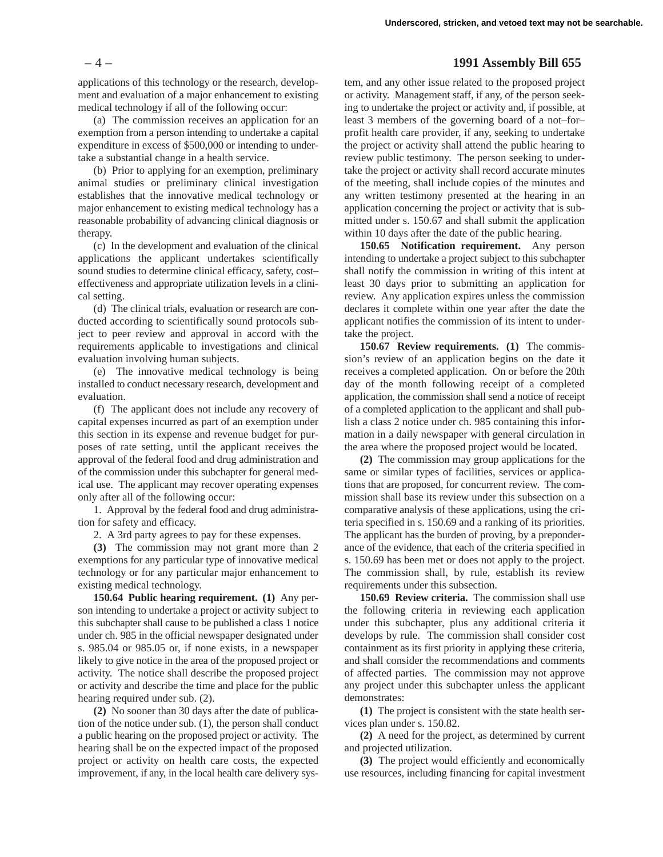#### – 4 – **1991 Assembly Bill 655**

applications of this technology or the research, development and evaluation of a major enhancement to existing medical technology if all of the following occur:

(a) The commission receives an application for an exemption from a person intending to undertake a capital expenditure in excess of \$500,000 or intending to undertake a substantial change in a health service.

(b) Prior to applying for an exemption, preliminary animal studies or preliminary clinical investigation establishes that the innovative medical technology or major enhancement to existing medical technology has a reasonable probability of advancing clinical diagnosis or therapy.

(c) In the development and evaluation of the clinical applications the applicant undertakes scientifically sound studies to determine clinical efficacy, safety, cost– effectiveness and appropriate utilization levels in a clinical setting.

(d) The clinical trials, evaluation or research are conducted according to scientifically sound protocols subject to peer review and approval in accord with the requirements applicable to investigations and clinical evaluation involving human subjects.

(e) The innovative medical technology is being installed to conduct necessary research, development and evaluation.

(f) The applicant does not include any recovery of capital expenses incurred as part of an exemption under this section in its expense and revenue budget for purposes of rate setting, until the applicant receives the approval of the federal food and drug administration and of the commission under this subchapter for general medical use. The applicant may recover operating expenses only after all of the following occur:

1. Approval by the federal food and drug administration for safety and efficacy.

2. A 3rd party agrees to pay for these expenses.

**(3)** The commission may not grant more than 2 exemptions for any particular type of innovative medical technology or for any particular major enhancement to existing medical technology.

**150.64 Public hearing requirement. (1)** Any person intending to undertake a project or activity subject to this subchapter shall cause to be published a class 1 notice under ch. 985 in the official newspaper designated under s. 985.04 or 985.05 or, if none exists, in a newspaper likely to give notice in the area of the proposed project or activity. The notice shall describe the proposed project or activity and describe the time and place for the public hearing required under sub. (2).

**(2)** No sooner than 30 days after the date of publication of the notice under sub. (1), the person shall conduct a public hearing on the proposed project or activity. The hearing shall be on the expected impact of the proposed project or activity on health care costs, the expected improvement, if any, in the local health care delivery sys-

tem, and any other issue related to the proposed project or activity. Management staff, if any, of the person seeking to undertake the project or activity and, if possible, at least 3 members of the governing board of a not–for– profit health care provider, if any, seeking to undertake the project or activity shall attend the public hearing to review public testimony. The person seeking to undertake the project or activity shall record accurate minutes of the meeting, shall include copies of the minutes and any written testimony presented at the hearing in an application concerning the project or activity that is submitted under s. 150.67 and shall submit the application within 10 days after the date of the public hearing.

**150.65 Notification requirement.** Any person intending to undertake a project subject to this subchapter shall notify the commission in writing of this intent at least 30 days prior to submitting an application for review. Any application expires unless the commission declares it complete within one year after the date the applicant notifies the commission of its intent to undertake the project.

**150.67 Review requirements. (1)** The commission's review of an application begins on the date it receives a completed application. On or before the 20th day of the month following receipt of a completed application, the commission shall send a notice of receipt of a completed application to the applicant and shall publish a class 2 notice under ch. 985 containing this information in a daily newspaper with general circulation in the area where the proposed project would be located.

**(2)** The commission may group applications for the same or similar types of facilities, services or applications that are proposed, for concurrent review. The commission shall base its review under this subsection on a comparative analysis of these applications, using the criteria specified in s. 150.69 and a ranking of its priorities. The applicant has the burden of proving, by a preponderance of the evidence, that each of the criteria specified in s. 150.69 has been met or does not apply to the project. The commission shall, by rule, establish its review requirements under this subsection.

**150.69 Review criteria.** The commission shall use the following criteria in reviewing each application under this subchapter, plus any additional criteria it develops by rule. The commission shall consider cost containment as its first priority in applying these criteria, and shall consider the recommendations and comments of affected parties. The commission may not approve any project under this subchapter unless the applicant demonstrates:

**(1)** The project is consistent with the state health services plan under s. 150.82.

**(2)** A need for the project, as determined by current and projected utilization.

**(3)** The project would efficiently and economically use resources, including financing for capital investment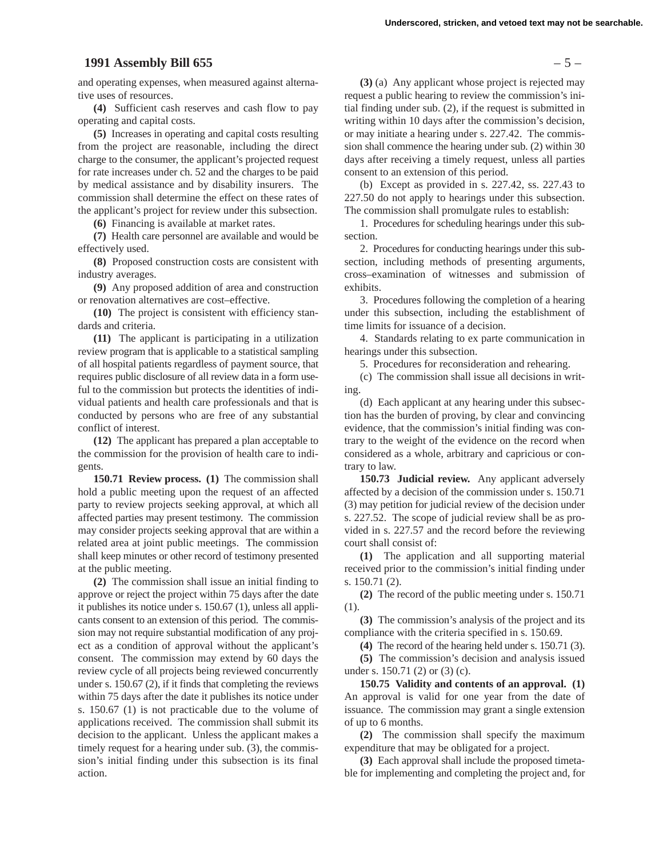## **1991 Assembly Bill 655** – 5 –

and operating expenses, when measured against alternative uses of resources.

**(4)** Sufficient cash reserves and cash flow to pay operating and capital costs.

**(5)** Increases in operating and capital costs resulting from the project are reasonable, including the direct charge to the consumer, the applicant's projected request for rate increases under ch. 52 and the charges to be paid by medical assistance and by disability insurers. The commission shall determine the effect on these rates of the applicant's project for review under this subsection.

**(6)** Financing is available at market rates.

**(7)** Health care personnel are available and would be effectively used.

**(8)** Proposed construction costs are consistent with industry averages.

**(9)** Any proposed addition of area and construction or renovation alternatives are cost–effective.

**(10)** The project is consistent with efficiency standards and criteria.

**(11)** The applicant is participating in a utilization review program that is applicable to a statistical sampling of all hospital patients regardless of payment source, that requires public disclosure of all review data in a form useful to the commission but protects the identities of individual patients and health care professionals and that is conducted by persons who are free of any substantial conflict of interest.

**(12)** The applicant has prepared a plan acceptable to the commission for the provision of health care to indigents.

**150.71 Review process. (1)** The commission shall hold a public meeting upon the request of an affected party to review projects seeking approval, at which all affected parties may present testimony. The commission may consider projects seeking approval that are within a related area at joint public meetings. The commission shall keep minutes or other record of testimony presented at the public meeting.

**(2)** The commission shall issue an initial finding to approve or reject the project within 75 days after the date it publishes its notice under s. 150.67 (1), unless all applicants consent to an extension of this period. The commission may not require substantial modification of any project as a condition of approval without the applicant's consent. The commission may extend by 60 days the review cycle of all projects being reviewed concurrently under s. 150.67 (2), if it finds that completing the reviews within 75 days after the date it publishes its notice under s. 150.67 (1) is not practicable due to the volume of applications received. The commission shall submit its decision to the applicant. Unless the applicant makes a timely request for a hearing under sub. (3), the commission's initial finding under this subsection is its final action.

**(3)** (a) Any applicant whose project is rejected may request a public hearing to review the commission's initial finding under sub. (2), if the request is submitted in writing within 10 days after the commission's decision, or may initiate a hearing under s. 227.42. The commission shall commence the hearing under sub. (2) within 30 days after receiving a timely request, unless all parties consent to an extension of this period.

(b) Except as provided in s. 227.42, ss. 227.43 to 227.50 do not apply to hearings under this subsection. The commission shall promulgate rules to establish:

1. Procedures for scheduling hearings under this subsection.

2. Procedures for conducting hearings under this subsection, including methods of presenting arguments, cross–examination of witnesses and submission of exhibits.

3. Procedures following the completion of a hearing under this subsection, including the establishment of time limits for issuance of a decision.

4. Standards relating to ex parte communication in hearings under this subsection.

5. Procedures for reconsideration and rehearing.

(c) The commission shall issue all decisions in writing.

(d) Each applicant at any hearing under this subsection has the burden of proving, by clear and convincing evidence, that the commission's initial finding was contrary to the weight of the evidence on the record when considered as a whole, arbitrary and capricious or contrary to law.

**150.73 Judicial review.** Any applicant adversely affected by a decision of the commission under s. 150.71 (3) may petition for judicial review of the decision under s. 227.52. The scope of judicial review shall be as provided in s. 227.57 and the record before the reviewing court shall consist of:

**(1)** The application and all supporting material received prior to the commission's initial finding under s. 150.71 (2).

**(2)** The record of the public meeting under s. 150.71 (1).

**(3)** The commission's analysis of the project and its compliance with the criteria specified in s. 150.69.

**(4)** The record of the hearing held under s. 150.71 (3).

**(5)** The commission's decision and analysis issued under s. 150.71 (2) or (3) (c).

**150.75 Validity and contents of an approval. (1)** An approval is valid for one year from the date of issuance. The commission may grant a single extension of up to 6 months.

**(2)** The commission shall specify the maximum expenditure that may be obligated for a project.

**(3)** Each approval shall include the proposed timetable for implementing and completing the project and, for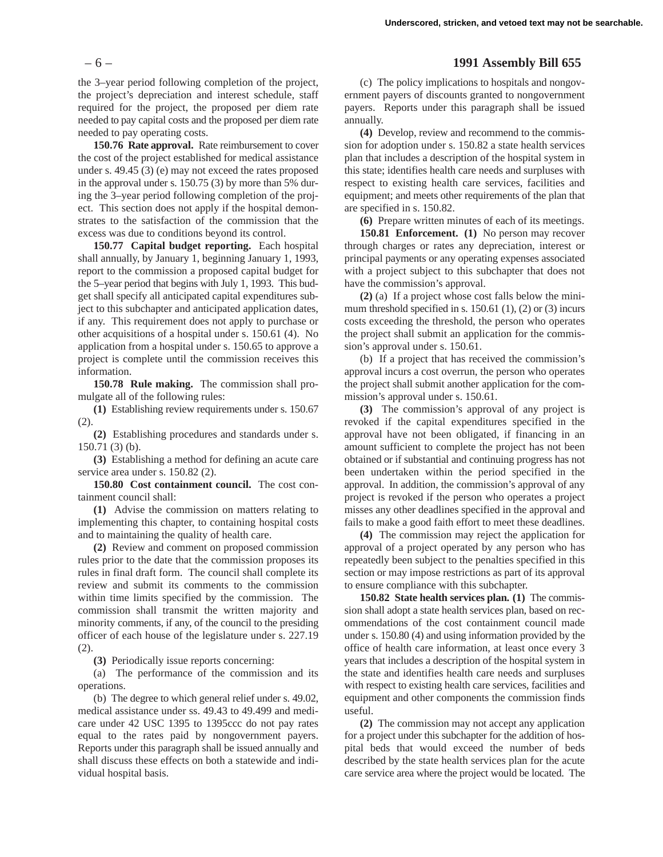the 3–year period following completion of the project, the project's depreciation and interest schedule, staff required for the project, the proposed per diem rate needed to pay capital costs and the proposed per diem rate needed to pay operating costs.

**150.76 Rate approval.** Rate reimbursement to cover the cost of the project established for medical assistance under s. 49.45 (3) (e) may not exceed the rates proposed in the approval under s. 150.75 (3) by more than 5% during the 3–year period following completion of the project. This section does not apply if the hospital demonstrates to the satisfaction of the commission that the excess was due to conditions beyond its control.

**150.77 Capital budget reporting.** Each hospital shall annually, by January 1, beginning January 1, 1993, report to the commission a proposed capital budget for the 5–year period that begins with July 1, 1993. This budget shall specify all anticipated capital expenditures subject to this subchapter and anticipated application dates, if any. This requirement does not apply to purchase or other acquisitions of a hospital under s. 150.61 (4). No application from a hospital under s. 150.65 to approve a project is complete until the commission receives this information.

**150.78 Rule making.** The commission shall promulgate all of the following rules:

**(1)** Establishing review requirements under s. 150.67 (2).

**(2)** Establishing procedures and standards under s. 150.71 (3) (b).

**(3)** Establishing a method for defining an acute care service area under s. 150.82 (2).

**150.80 Cost containment council.** The cost containment council shall:

**(1)** Advise the commission on matters relating to implementing this chapter, to containing hospital costs and to maintaining the quality of health care.

**(2)** Review and comment on proposed commission rules prior to the date that the commission proposes its rules in final draft form. The council shall complete its review and submit its comments to the commission within time limits specified by the commission. The commission shall transmit the written majority and minority comments, if any, of the council to the presiding officer of each house of the legislature under s. 227.19 (2).

**(3)** Periodically issue reports concerning:

(a) The performance of the commission and its operations.

(b) The degree to which general relief under s. 49.02, medical assistance under ss. 49.43 to 49.499 and medicare under 42 USC 1395 to 1395ccc do not pay rates equal to the rates paid by nongovernment payers. Reports under this paragraph shall be issued annually and shall discuss these effects on both a statewide and individual hospital basis.

# – 6 – **1991 Assembly Bill 655**

(c) The policy implications to hospitals and nongovernment payers of discounts granted to nongovernment payers. Reports under this paragraph shall be issued annually.

**(4)** Develop, review and recommend to the commission for adoption under s. 150.82 a state health services plan that includes a description of the hospital system in this state; identifies health care needs and surpluses with respect to existing health care services, facilities and equipment; and meets other requirements of the plan that are specified in s. 150.82.

**(6)** Prepare written minutes of each of its meetings.

**150.81 Enforcement. (1)** No person may recover through charges or rates any depreciation, interest or principal payments or any operating expenses associated with a project subject to this subchapter that does not have the commission's approval.

**(2)** (a) If a project whose cost falls below the minimum threshold specified in s. 150.61 (1), (2) or (3) incurs costs exceeding the threshold, the person who operates the project shall submit an application for the commission's approval under s. 150.61.

(b) If a project that has received the commission's approval incurs a cost overrun, the person who operates the project shall submit another application for the commission's approval under s. 150.61.

**(3)** The commission's approval of any project is revoked if the capital expenditures specified in the approval have not been obligated, if financing in an amount sufficient to complete the project has not been obtained or if substantial and continuing progress has not been undertaken within the period specified in the approval. In addition, the commission's approval of any project is revoked if the person who operates a project misses any other deadlines specified in the approval and fails to make a good faith effort to meet these deadlines.

**(4)** The commission may reject the application for approval of a project operated by any person who has repeatedly been subject to the penalties specified in this section or may impose restrictions as part of its approval to ensure compliance with this subchapter.

**150.82 State health services plan. (1)** The commission shall adopt a state health services plan, based on recommendations of the cost containment council made under s. 150.80 (4) and using information provided by the office of health care information, at least once every 3 years that includes a description of the hospital system in the state and identifies health care needs and surpluses with respect to existing health care services, facilities and equipment and other components the commission finds useful.

**(2)** The commission may not accept any application for a project under this subchapter for the addition of hospital beds that would exceed the number of beds described by the state health services plan for the acute care service area where the project would be located. The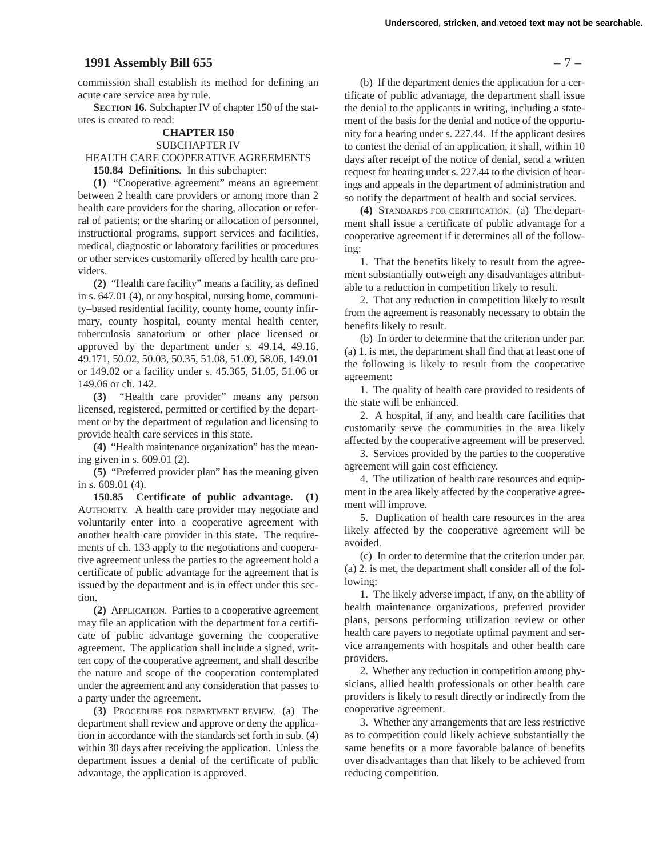# **1991 Assembly Bill 655** – 7 –

commission shall establish its method for defining an acute care service area by rule.

**SECTION 16.** Subchapter IV of chapter 150 of the statutes is created to read:

#### **CHAPTER 150** SUBCHAPTER IV

# HEALTH CARE COOPERATIVE AGREEMENTS **150.84 Definitions.** In this subchapter:

**(1)** "Cooperative agreement" means an agreement between 2 health care providers or among more than 2 health care providers for the sharing, allocation or referral of patients; or the sharing or allocation of personnel, instructional programs, support services and facilities, medical, diagnostic or laboratory facilities or procedures or other services customarily offered by health care providers.

**(2)** "Health care facility" means a facility, as defined in s. 647.01 (4), or any hospital, nursing home, community–based residential facility, county home, county infirmary, county hospital, county mental health center, tuberculosis sanatorium or other place licensed or approved by the department under s. 49.14, 49.16, 49.171, 50.02, 50.03, 50.35, 51.08, 51.09, 58.06, 149.01 or 149.02 or a facility under s. 45.365, 51.05, 51.06 or 149.06 or ch. 142.

**(3)** "Health care provider" means any person licensed, registered, permitted or certified by the department or by the department of regulation and licensing to provide health care services in this state.

**(4)** "Health maintenance organization" has the meaning given in s. 609.01 (2).

**(5)** "Preferred provider plan" has the meaning given in s. 609.01 (4).

**150.85 Certificate of public advantage. (1)** AUTHORITY. A health care provider may negotiate and voluntarily enter into a cooperative agreement with another health care provider in this state. The requirements of ch. 133 apply to the negotiations and cooperative agreement unless the parties to the agreement hold a certificate of public advantage for the agreement that is issued by the department and is in effect under this section.

**(2)** APPLICATION. Parties to a cooperative agreement may file an application with the department for a certificate of public advantage governing the cooperative agreement. The application shall include a signed, written copy of the cooperative agreement, and shall describe the nature and scope of the cooperation contemplated under the agreement and any consideration that passes to a party under the agreement.

**(3)** PROCEDURE FOR DEPARTMENT REVIEW. (a) The department shall review and approve or deny the application in accordance with the standards set forth in sub. (4) within 30 days after receiving the application. Unless the department issues a denial of the certificate of public advantage, the application is approved.

(b) If the department denies the application for a certificate of public advantage, the department shall issue the denial to the applicants in writing, including a statement of the basis for the denial and notice of the opportunity for a hearing under s. 227.44. If the applicant desires to contest the denial of an application, it shall, within 10 days after receipt of the notice of denial, send a written request for hearing under s. 227.44 to the division of hearings and appeals in the department of administration and so notify the department of health and social services.

**(4)** STANDARDS FOR CERTIFICATION. (a) The department shall issue a certificate of public advantage for a cooperative agreement if it determines all of the following:

1. That the benefits likely to result from the agreement substantially outweigh any disadvantages attributable to a reduction in competition likely to result.

2. That any reduction in competition likely to result from the agreement is reasonably necessary to obtain the benefits likely to result.

(b) In order to determine that the criterion under par. (a) 1. is met, the department shall find that at least one of the following is likely to result from the cooperative agreement:

1. The quality of health care provided to residents of the state will be enhanced.

2. A hospital, if any, and health care facilities that customarily serve the communities in the area likely affected by the cooperative agreement will be preserved.

3. Services provided by the parties to the cooperative agreement will gain cost efficiency.

4. The utilization of health care resources and equipment in the area likely affected by the cooperative agreement will improve.

5. Duplication of health care resources in the area likely affected by the cooperative agreement will be avoided.

(c) In order to determine that the criterion under par. (a) 2. is met, the department shall consider all of the following:

1. The likely adverse impact, if any, on the ability of health maintenance organizations, preferred provider plans, persons performing utilization review or other health care payers to negotiate optimal payment and service arrangements with hospitals and other health care providers.

2. Whether any reduction in competition among physicians, allied health professionals or other health care providers is likely to result directly or indirectly from the cooperative agreement.

3. Whether any arrangements that are less restrictive as to competition could likely achieve substantially the same benefits or a more favorable balance of benefits over disadvantages than that likely to be achieved from reducing competition.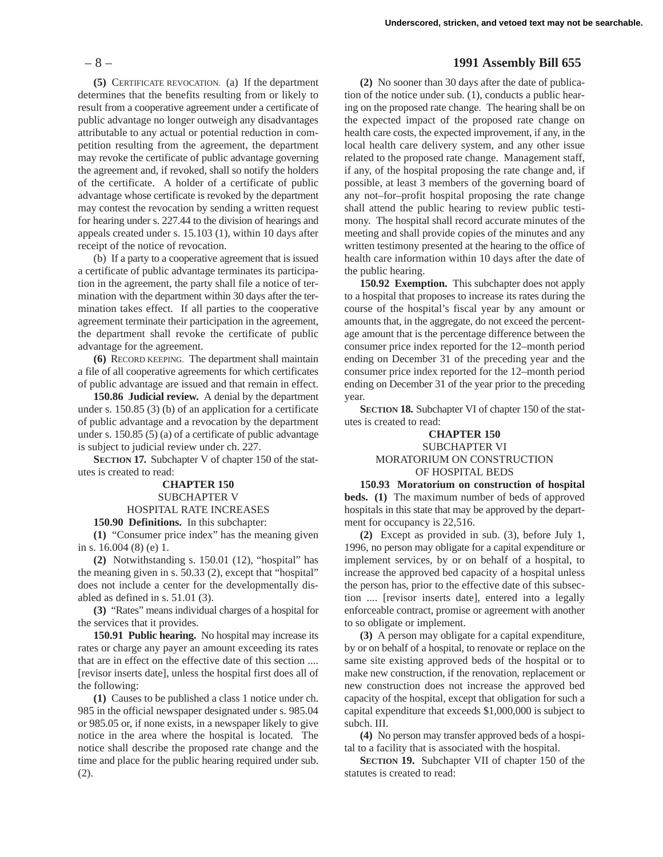**(5)** CERTIFICATE REVOCATION. (a) If the department determines that the benefits resulting from or likely to result from a cooperative agreement under a certificate of public advantage no longer outweigh any disadvantages attributable to any actual or potential reduction in competition resulting from the agreement, the department may revoke the certificate of public advantage governing the agreement and, if revoked, shall so notify the holders of the certificate. A holder of a certificate of public advantage whose certificate is revoked by the department may contest the revocation by sending a written request for hearing under s. 227.44 to the division of hearings and appeals created under s. 15.103 (1), within 10 days after receipt of the notice of revocation.

(b) If a party to a cooperative agreement that is issued a certificate of public advantage terminates its participation in the agreement, the party shall file a notice of termination with the department within 30 days after the termination takes effect. If all parties to the cooperative agreement terminate their participation in the agreement, the department shall revoke the certificate of public advantage for the agreement.

**(6)** RECORD KEEPING. The department shall maintain a file of all cooperative agreements for which certificates of public advantage are issued and that remain in effect.

**150.86 Judicial review.** A denial by the department under s. 150.85 (3) (b) of an application for a certificate of public advantage and a revocation by the department under s. 150.85 (5) (a) of a certificate of public advantage is subject to judicial review under ch. 227.

**SECTION 17.** Subchapter V of chapter 150 of the statutes is created to read:

# **CHAPTER 150** SUBCHAPTER V

## HOSPITAL RATE INCREASES

**150.90 Definitions.** In this subchapter:

**(1)** "Consumer price index" has the meaning given in s. 16.004 (8) (e) 1.

**(2)** Notwithstanding s. 150.01 (12), "hospital" has the meaning given in s. 50.33 (2), except that "hospital" does not include a center for the developmentally disabled as defined in s. 51.01 (3).

**(3)** "Rates" means individual charges of a hospital for the services that it provides.

**150.91 Public hearing.** No hospital may increase its rates or charge any payer an amount exceeding its rates that are in effect on the effective date of this section .... [revisor inserts date], unless the hospital first does all of the following:

**(1)** Causes to be published a class 1 notice under ch. 985 in the official newspaper designated under s. 985.04 or 985.05 or, if none exists, in a newspaper likely to give notice in the area where the hospital is located. The notice shall describe the proposed rate change and the time and place for the public hearing required under sub. (2).

# – 8 – **1991 Assembly Bill 655**

**(2)** No sooner than 30 days after the date of publication of the notice under sub. (1), conducts a public hearing on the proposed rate change. The hearing shall be on the expected impact of the proposed rate change on health care costs, the expected improvement, if any, in the local health care delivery system, and any other issue related to the proposed rate change. Management staff, if any, of the hospital proposing the rate change and, if possible, at least 3 members of the governing board of any not–for–profit hospital proposing the rate change shall attend the public hearing to review public testimony. The hospital shall record accurate minutes of the meeting and shall provide copies of the minutes and any written testimony presented at the hearing to the office of health care information within 10 days after the date of the public hearing.

**150.92 Exemption.** This subchapter does not apply to a hospital that proposes to increase its rates during the course of the hospital's fiscal year by any amount or amounts that, in the aggregate, do not exceed the percentage amount that is the percentage difference between the consumer price index reported for the 12–month period ending on December 31 of the preceding year and the consumer price index reported for the 12–month period ending on December 31 of the year prior to the preceding year.

**SECTION 18.** Subchapter VI of chapter 150 of the statutes is created to read:

# **CHAPTER 150** SUBCHAPTER VI MORATORIUM ON CONSTRUCTION OF HOSPITAL BEDS

**150.93 Moratorium on construction of hospital beds. (1)** The maximum number of beds of approved hospitals in this state that may be approved by the department for occupancy is 22,516.

**(2)** Except as provided in sub. (3), before July 1, 1996, no person may obligate for a capital expenditure or implement services, by or on behalf of a hospital, to increase the approved bed capacity of a hospital unless the person has, prior to the effective date of this subsection .... [revisor inserts date], entered into a legally enforceable contract, promise or agreement with another to so obligate or implement.

**(3)** A person may obligate for a capital expenditure, by or on behalf of a hospital, to renovate or replace on the same site existing approved beds of the hospital or to make new construction, if the renovation, replacement or new construction does not increase the approved bed capacity of the hospital, except that obligation for such a capital expenditure that exceeds \$1,000,000 is subject to subch. III.

**(4)** No person may transfer approved beds of a hospital to a facility that is associated with the hospital.

**SECTION 19.** Subchapter VII of chapter 150 of the statutes is created to read: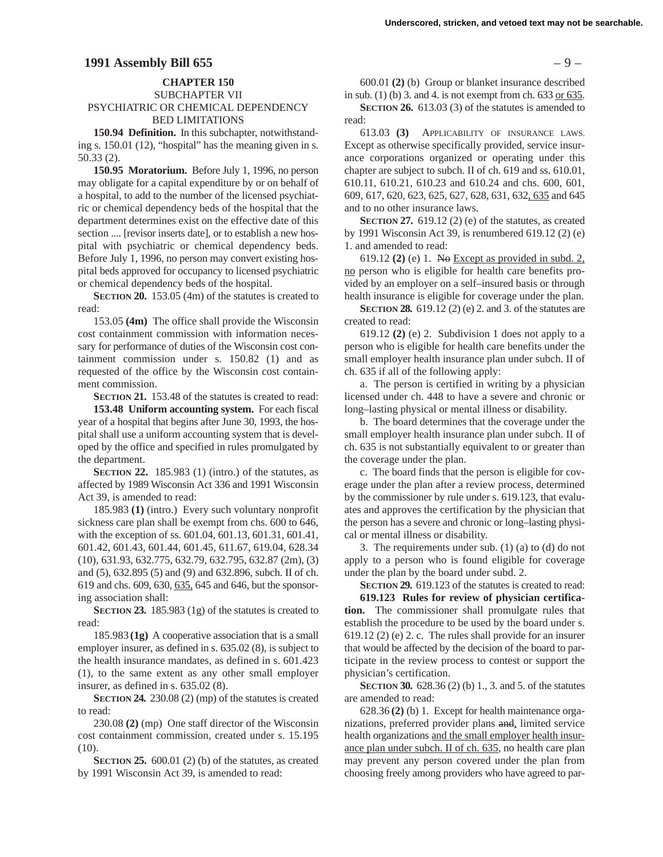#### **CHAPTER 150**

## SUBCHAPTER VII PSYCHIATRIC OR CHEMICAL DEPENDENCY BED LIMITATIONS

**150.94 Definition.** In this subchapter, notwithstanding s. 150.01 (12), "hospital" has the meaning given in s. 50.33 (2).

**150.95 Moratorium.** Before July 1, 1996, no person may obligate for a capital expenditure by or on behalf of a hospital, to add to the number of the licensed psychiatric or chemical dependency beds of the hospital that the department determines exist on the effective date of this section .... [revisor inserts date], or to establish a new hospital with psychiatric or chemical dependency beds. Before July 1, 1996, no person may convert existing hospital beds approved for occupancy to licensed psychiatric or chemical dependency beds of the hospital.

**SECTION 20.** 153.05 (4m) of the statutes is created to read:

153.05 **(4m)** The office shall provide the Wisconsin cost containment commission with information necessary for performance of duties of the Wisconsin cost containment commission under s. 150.82 (1) and as requested of the office by the Wisconsin cost containment commission.

**SECTION 21.** 153.48 of the statutes is created to read:

**153.48 Uniform accounting system.** For each fiscal year of a hospital that begins after June 30, 1993, the hospital shall use a uniform accounting system that is developed by the office and specified in rules promulgated by the department.

**SECTION 22.** 185.983 (1) (intro.) of the statutes, as affected by 1989 Wisconsin Act 336 and 1991 Wisconsin Act 39, is amended to read:

185.983 **(1)** (intro.) Every such voluntary nonprofit sickness care plan shall be exempt from chs. 600 to 646, with the exception of ss. 601.04, 601.13, 601.31, 601.41, 601.42, 601.43, 601.44, 601.45, 611.67, 619.04, 628.34 (10), 631.93, 632.775, 632.79, 632.795, 632.87 (2m), (3) and (5), 632.895 (5) and (9) and 632.896, subch. II of ch. 619 and chs. 609, 630, 635, 645 and 646, but the sponsoring association shall:

**SECTION 23.** 185.983 (1g) of the statutes is created to read:

185.983 **(1g)** A cooperative association that is a small employer insurer, as defined in s. 635.02 (8), is subject to the health insurance mandates, as defined in s. 601.423 (1), to the same extent as any other small employer insurer, as defined in s. 635.02 (8).

**SECTION 24.** 230.08 (2) (mp) of the statutes is created to read:

230.08 **(2)** (mp) One staff director of the Wisconsin cost containment commission, created under s. 15.195 (10).

**SECTION 25.** 600.01 (2) (b) of the statutes, as created by 1991 Wisconsin Act 39, is amended to read:

600.01 **(2)** (b) Group or blanket insurance described in sub. (1) (b) 3. and 4. is not exempt from ch.  $633$  or  $635$ .

**SECTION 26.** 613.03 (3) of the statutes is amended to read:

613.03 **(3)** APPLICABILITY OF INSURANCE LAWS. Except as otherwise specifically provided, service insurance corporations organized or operating under this chapter are subject to subch. II of ch. 619 and ss. 610.01, 610.11, 610.21, 610.23 and 610.24 and chs. 600, 601, 609, 617, 620, 623, 625, 627, 628, 631, 632, 635 and 645 and to no other insurance laws.

**SECTION 27.** 619.12 (2) (e) of the statutes, as created by 1991 Wisconsin Act 39, is renumbered 619.12 (2) (e) 1. and amended to read:

619.12 **(2)** (e) 1. No Except as provided in subd. 2, no person who is eligible for health care benefits provided by an employer on a self–insured basis or through health insurance is eligible for coverage under the plan.

**SECTION 28.** 619.12 (2) (e) 2. and 3. of the statutes are created to read:

619.12 **(2)** (e) 2. Subdivision 1 does not apply to a person who is eligible for health care benefits under the small employer health insurance plan under subch. II of ch. 635 if all of the following apply:

a. The person is certified in writing by a physician licensed under ch. 448 to have a severe and chronic or long–lasting physical or mental illness or disability.

b. The board determines that the coverage under the small employer health insurance plan under subch. II of ch. 635 is not substantially equivalent to or greater than the coverage under the plan.

c. The board finds that the person is eligible for coverage under the plan after a review process, determined by the commissioner by rule under s. 619.123, that evaluates and approves the certification by the physician that the person has a severe and chronic or long–lasting physical or mental illness or disability.

3. The requirements under sub. (1) (a) to (d) do not apply to a person who is found eligible for coverage under the plan by the board under subd. 2.

**SECTION 29.** 619.123 of the statutes is created to read: **619.123 Rules for review of physician certification.** The commissioner shall promulgate rules that establish the procedure to be used by the board under s. 619.12 (2) (e) 2. c. The rules shall provide for an insurer that would be affected by the decision of the board to participate in the review process to contest or support the physician's certification.

**SECTION 30.** 628.36 (2) (b) 1, 3, and 5, of the statutes are amended to read:

628.36 **(2)** (b) 1. Except for health maintenance organizations, preferred provider plans and, limited service health organizations and the small employer health insurance plan under subch. II of ch. 635, no health care plan may prevent any person covered under the plan from choosing freely among providers who have agreed to par-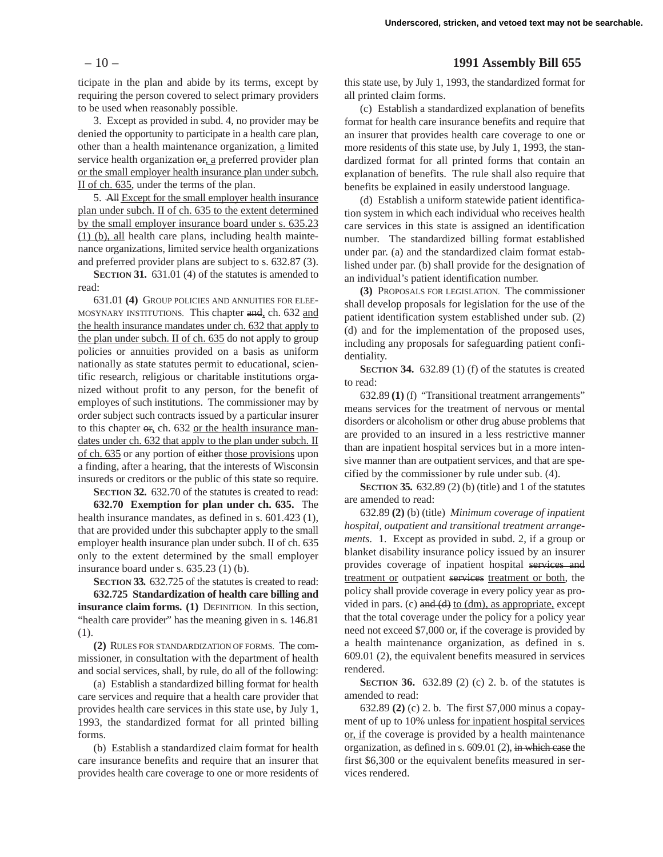ticipate in the plan and abide by its terms, except by requiring the person covered to select primary providers to be used when reasonably possible.

3. Except as provided in subd. 4, no provider may be denied the opportunity to participate in a health care plan, other than a health maintenance organization, a limited service health organization  $\theta$ <sub>r</sub>, a preferred provider plan or the small employer health insurance plan under subch. II of ch. 635, under the terms of the plan.

5. All Except for the small employer health insurance plan under subch. II of ch. 635 to the extent determined by the small employer insurance board under s. 635.23 (1) (b), all health care plans, including health maintenance organizations, limited service health organizations and preferred provider plans are subject to s. 632.87 (3).

**SECTION 31.** 631.01 (4) of the statutes is amended to read:

631.01 **(4)** GROUP POLICIES AND ANNUITIES FOR ELEE-MOSYNARY INSTITUTIONS. This chapter and, ch. 632 and the health insurance mandates under ch. 632 that apply to the plan under subch. II of ch. 635 do not apply to group policies or annuities provided on a basis as uniform nationally as state statutes permit to educational, scientific research, religious or charitable institutions organized without profit to any person, for the benefit of employes of such institutions. The commissioner may by order subject such contracts issued by a particular insurer to this chapter  $\sigma$ , ch. 632 or the health insurance mandates under ch. 632 that apply to the plan under subch. II of ch. 635 or any portion of either those provisions upon a finding, after a hearing, that the interests of Wisconsin insureds or creditors or the public of this state so require.

**SECTION 32.** 632.70 of the statutes is created to read: **632.70 Exemption for plan under ch. 635.** The

health insurance mandates, as defined in s. 601.423 (1), that are provided under this subchapter apply to the small employer health insurance plan under subch. II of ch. 635 only to the extent determined by the small employer insurance board under s. 635.23 (1) (b).

**SECTION 33.** 632.725 of the statutes is created to read: **632.725 Standardization of health care billing and insurance claim forms. (1)** DEFINITION. In this section, "health care provider" has the meaning given in s. 146.81 (1).

**(2)** RULES FOR STANDARDIZATION OF FORMS. The commissioner, in consultation with the department of health and social services, shall, by rule, do all of the following:

(a) Establish a standardized billing format for health care services and require that a health care provider that provides health care services in this state use, by July 1, 1993, the standardized format for all printed billing forms.

(b) Establish a standardized claim format for health care insurance benefits and require that an insurer that provides health care coverage to one or more residents of

# – 10 – **1991 Assembly Bill 655**

this state use, by July 1, 1993, the standardized format for all printed claim forms.

(c) Establish a standardized explanation of benefits format for health care insurance benefits and require that an insurer that provides health care coverage to one or more residents of this state use, by July 1, 1993, the standardized format for all printed forms that contain an explanation of benefits. The rule shall also require that benefits be explained in easily understood language.

(d) Establish a uniform statewide patient identification system in which each individual who receives health care services in this state is assigned an identification number. The standardized billing format established under par. (a) and the standardized claim format established under par. (b) shall provide for the designation of an individual's patient identification number.

**(3)** PROPOSALS FOR LEGISLATION. The commissioner shall develop proposals for legislation for the use of the patient identification system established under sub. (2) (d) and for the implementation of the proposed uses, including any proposals for safeguarding patient confidentiality.

**SECTION 34.** 632.89 (1) (f) of the statutes is created to read:

632.89 **(1)** (f) "Transitional treatment arrangements" means services for the treatment of nervous or mental disorders or alcoholism or other drug abuse problems that are provided to an insured in a less restrictive manner than are inpatient hospital services but in a more intensive manner than are outpatient services, and that are specified by the commissioner by rule under sub. (4).

**SECTION 35.** 632.89 (2) (b) (title) and 1 of the statutes are amended to read:

632.89 **(2)** (b) (title) *Minimum coverage of inpatient hospital, outpatient and transitional treatment arrangements.* 1. Except as provided in subd. 2, if a group or blanket disability insurance policy issued by an insurer provides coverage of inpatient hospital services and treatment or outpatient services treatment or both, the policy shall provide coverage in every policy year as provided in pars. (c) and  $(d)$  to  $(dm)$ , as appropriate, except that the total coverage under the policy for a policy year need not exceed \$7,000 or, if the coverage is provided by a health maintenance organization, as defined in s. 609.01 (2), the equivalent benefits measured in services rendered.

**SECTION 36.** 632.89 (2) (c) 2. b. of the statutes is amended to read:

632.89 **(2)** (c) 2. b. The first \$7,000 minus a copayment of up to 10% unless for inpatient hospital services or, if the coverage is provided by a health maintenance organization, as defined in s. 609.01 (2), in which case the first \$6,300 or the equivalent benefits measured in services rendered.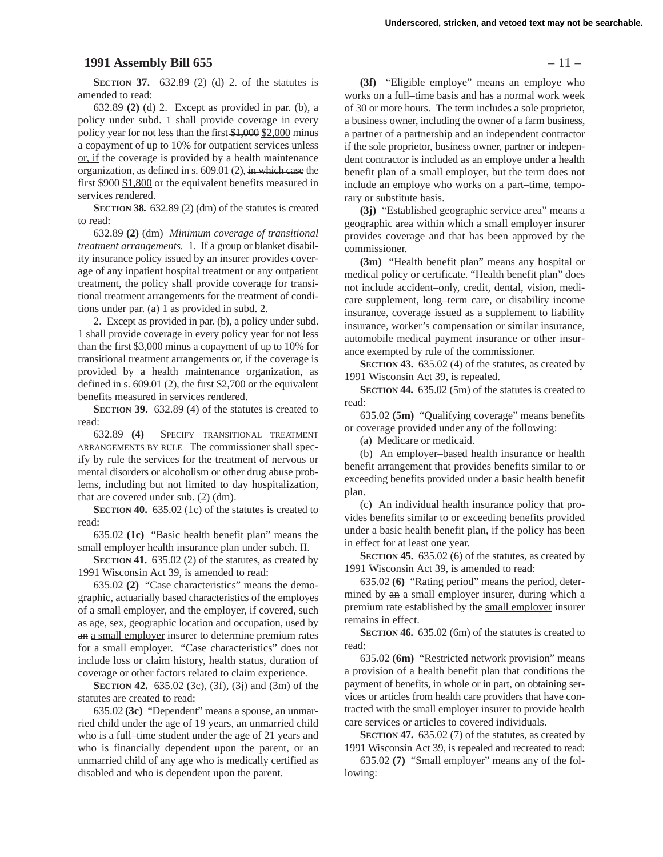#### **1991 Assembly Bill 655** – 11 –

**SECTION 37.** 632.89 (2) (d) 2. of the statutes is amended to read:

632.89 **(2)** (d) 2. Except as provided in par. (b), a policy under subd. 1 shall provide coverage in every policy year for not less than the first \$1,000 \$2,000 minus a copayment of up to 10% for outpatient services unless or, if the coverage is provided by a health maintenance organization, as defined in s. 609.01 (2), in which case the first \$900 \$1,800 or the equivalent benefits measured in services rendered.

**SECTION 38.** 632.89 (2) (dm) of the statutes is created to read:

632.89 **(2)** (dm) *Minimum coverage of transitional treatment arrangements.* 1. If a group or blanket disability insurance policy issued by an insurer provides coverage of any inpatient hospital treatment or any outpatient treatment, the policy shall provide coverage for transitional treatment arrangements for the treatment of conditions under par. (a) 1 as provided in subd. 2.

2. Except as provided in par. (b), a policy under subd. 1 shall provide coverage in every policy year for not less than the first \$3,000 minus a copayment of up to 10% for transitional treatment arrangements or, if the coverage is provided by a health maintenance organization, as defined in s. 609.01 (2), the first \$2,700 or the equivalent benefits measured in services rendered.

**SECTION 39.** 632.89 (4) of the statutes is created to read:

632.89 **(4)** SPECIFY TRANSITIONAL TREATMENT ARRANGEMENTS BY RULE. The commissioner shall specify by rule the services for the treatment of nervous or mental disorders or alcoholism or other drug abuse problems, including but not limited to day hospitalization, that are covered under sub. (2) (dm).

**SECTION 40.** 635.02 (1c) of the statutes is created to read:

635.02 **(1c)** "Basic health benefit plan" means the small employer health insurance plan under subch. II.

**SECTION 41.** 635.02 (2) of the statutes, as created by 1991 Wisconsin Act 39, is amended to read:

635.02 **(2)** "Case characteristics" means the demographic, actuarially based characteristics of the employes of a small employer, and the employer, if covered, such as age, sex, geographic location and occupation, used by an a small employer insurer to determine premium rates for a small employer. "Case characteristics" does not include loss or claim history, health status, duration of coverage or other factors related to claim experience.

**SECTION 42.** 635.02 (3c), (3f), (3j) and (3m) of the statutes are created to read:

635.02 **(3c)** "Dependent" means a spouse, an unmarried child under the age of 19 years, an unmarried child who is a full–time student under the age of 21 years and who is financially dependent upon the parent, or an unmarried child of any age who is medically certified as disabled and who is dependent upon the parent.

**(3f)** "Eligible employe" means an employe who works on a full–time basis and has a normal work week of 30 or more hours. The term includes a sole proprietor, a business owner, including the owner of a farm business, a partner of a partnership and an independent contractor if the sole proprietor, business owner, partner or independent contractor is included as an employe under a health benefit plan of a small employer, but the term does not include an employe who works on a part–time, temporary or substitute basis.

**(3j)** "Established geographic service area" means a geographic area within which a small employer insurer provides coverage and that has been approved by the commissioner.

**(3m)** "Health benefit plan" means any hospital or medical policy or certificate. "Health benefit plan" does not include accident–only, credit, dental, vision, medicare supplement, long–term care, or disability income insurance, coverage issued as a supplement to liability insurance, worker's compensation or similar insurance, automobile medical payment insurance or other insurance exempted by rule of the commissioner.

**SECTION 43.** 635.02 (4) of the statutes, as created by 1991 Wisconsin Act 39, is repealed.

**SECTION 44.** 635.02 (5m) of the statutes is created to read:

635.02 **(5m)** "Qualifying coverage" means benefits or coverage provided under any of the following:

(a) Medicare or medicaid.

(b) An employer–based health insurance or health benefit arrangement that provides benefits similar to or exceeding benefits provided under a basic health benefit plan.

(c) An individual health insurance policy that provides benefits similar to or exceeding benefits provided under a basic health benefit plan, if the policy has been in effect for at least one year.

**SECTION 45.** 635.02 (6) of the statutes, as created by 1991 Wisconsin Act 39, is amended to read:

635.02 **(6)** "Rating period" means the period, determined by an a small employer insurer, during which a premium rate established by the small employer insurer remains in effect.

**SECTION 46.** 635.02 (6m) of the statutes is created to read:

635.02 **(6m)** "Restricted network provision" means a provision of a health benefit plan that conditions the payment of benefits, in whole or in part, on obtaining services or articles from health care providers that have contracted with the small employer insurer to provide health care services or articles to covered individuals.

**SECTION 47.** 635.02 (7) of the statutes, as created by 1991 Wisconsin Act 39, is repealed and recreated to read:

635.02 **(7)** "Small employer" means any of the following: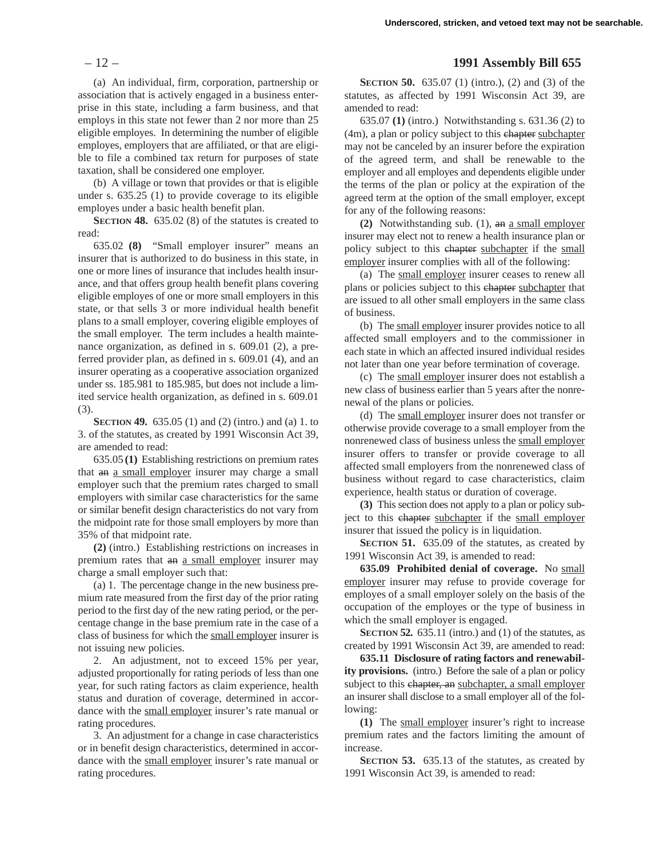(a) An individual, firm, corporation, partnership or association that is actively engaged in a business enterprise in this state, including a farm business, and that employs in this state not fewer than 2 nor more than 25 eligible employes. In determining the number of eligible employes, employers that are affiliated, or that are eligible to file a combined tax return for purposes of state taxation, shall be considered one employer.

(b) A village or town that provides or that is eligible under s. 635.25 (1) to provide coverage to its eligible employes under a basic health benefit plan.

**SECTION 48.** 635.02 (8) of the statutes is created to read:

635.02 **(8)** "Small employer insurer" means an insurer that is authorized to do business in this state, in one or more lines of insurance that includes health insurance, and that offers group health benefit plans covering eligible employes of one or more small employers in this state, or that sells 3 or more individual health benefit plans to a small employer, covering eligible employes of the small employer. The term includes a health maintenance organization, as defined in s. 609.01 (2), a preferred provider plan, as defined in s. 609.01 (4), and an insurer operating as a cooperative association organized under ss. 185.981 to 185.985, but does not include a limited service health organization, as defined in s. 609.01 (3).

**SECTION 49.** 635.05 (1) and (2) (intro.) and (a) 1. to 3. of the statutes, as created by 1991 Wisconsin Act 39, are amended to read:

635.05 **(1)** Establishing restrictions on premium rates that an a small employer insurer may charge a small employer such that the premium rates charged to small employers with similar case characteristics for the same or similar benefit design characteristics do not vary from the midpoint rate for those small employers by more than 35% of that midpoint rate.

**(2)** (intro.) Establishing restrictions on increases in premium rates that an a small employer insurer may charge a small employer such that:

(a) 1. The percentage change in the new business premium rate measured from the first day of the prior rating period to the first day of the new rating period, or the percentage change in the base premium rate in the case of a class of business for which the small employer insurer is not issuing new policies.

2. An adjustment, not to exceed 15% per year, adjusted proportionally for rating periods of less than one year, for such rating factors as claim experience, health status and duration of coverage, determined in accordance with the small employer insurer's rate manual or rating procedures.

3. An adjustment for a change in case characteristics or in benefit design characteristics, determined in accordance with the small employer insurer's rate manual or rating procedures.

# – 12 – **1991 Assembly Bill 655**

**SECTION 50.** 635.07 (1) (intro.), (2) and (3) of the statutes, as affected by 1991 Wisconsin Act 39, are amended to read:

635.07 **(1)** (intro.) Notwithstanding s. 631.36 (2) to (4m), a plan or policy subject to this chapter subchapter may not be canceled by an insurer before the expiration of the agreed term, and shall be renewable to the employer and all employes and dependents eligible under the terms of the plan or policy at the expiration of the agreed term at the option of the small employer, except for any of the following reasons:

**(2)** Notwithstanding sub. (1), an a small employer insurer may elect not to renew a health insurance plan or policy subject to this chapter subchapter if the small employer insurer complies with all of the following:

(a) The small employer insurer ceases to renew all plans or policies subject to this chapter subchapter that are issued to all other small employers in the same class of business.

(b) The small employer insurer provides notice to all affected small employers and to the commissioner in each state in which an affected insured individual resides not later than one year before termination of coverage.

(c) The small employer insurer does not establish a new class of business earlier than 5 years after the nonrenewal of the plans or policies.

(d) The small employer insurer does not transfer or otherwise provide coverage to a small employer from the nonrenewed class of business unless the small employer insurer offers to transfer or provide coverage to all affected small employers from the nonrenewed class of business without regard to case characteristics, claim experience, health status or duration of coverage.

**(3)** This section does not apply to a plan or policy subject to this chapter subchapter if the small employer insurer that issued the policy is in liquidation.

**SECTION 51.** 635.09 of the statutes, as created by 1991 Wisconsin Act 39, is amended to read:

**635.09 Prohibited denial of coverage.** No small employer insurer may refuse to provide coverage for employes of a small employer solely on the basis of the occupation of the employes or the type of business in which the small employer is engaged.

**SECTION 52.** 635.11 (intro.) and (1) of the statutes, as created by 1991 Wisconsin Act 39, are amended to read:

**635.11 Disclosure of rating factors and renewability provisions.** (intro.) Before the sale of a plan or policy subject to this chapter, an subchapter, a small employer an insurer shall disclose to a small employer all of the following:

**(1)** The small employer insurer's right to increase premium rates and the factors limiting the amount of increase.

**SECTION 53.** 635.13 of the statutes, as created by 1991 Wisconsin Act 39, is amended to read: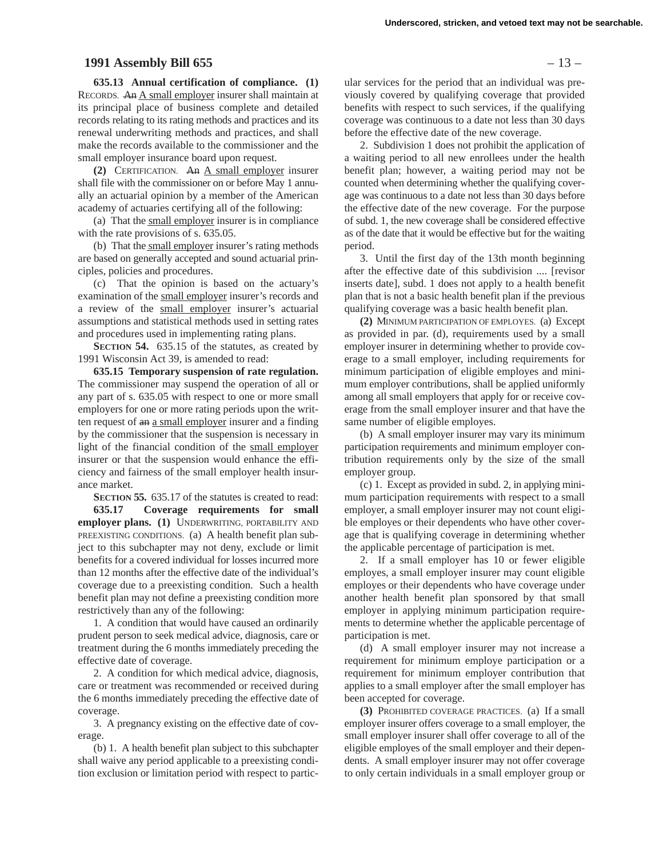## **1991 Assembly Bill 655** – 13 –

**635.13 Annual certification of compliance. (1)** RECORDS. An A small employer insurer shall maintain at its principal place of business complete and detailed records relating to its rating methods and practices and its renewal underwriting methods and practices, and shall make the records available to the commissioner and the small employer insurance board upon request.

**(2)** CERTIFICATION. An A small employer insurer shall file with the commissioner on or before May 1 annually an actuarial opinion by a member of the American academy of actuaries certifying all of the following:

(a) That the small employer insurer is in compliance with the rate provisions of s. 635.05.

(b) That the small employer insurer's rating methods are based on generally accepted and sound actuarial principles, policies and procedures.

(c) That the opinion is based on the actuary's examination of the small employer insurer's records and a review of the small employer insurer's actuarial assumptions and statistical methods used in setting rates and procedures used in implementing rating plans.

**SECTION 54.** 635.15 of the statutes, as created by 1991 Wisconsin Act 39, is amended to read:

**635.15 Temporary suspension of rate regulation.** The commissioner may suspend the operation of all or any part of s. 635.05 with respect to one or more small employers for one or more rating periods upon the written request of an a small employer insurer and a finding by the commissioner that the suspension is necessary in light of the financial condition of the small employer insurer or that the suspension would enhance the efficiency and fairness of the small employer health insurance market.

**SECTION 55.** 635.17 of the statutes is created to read: **635.17 Coverage requirements for small employer plans. (1)** UNDERWRITING, PORTABILITY AND PREEXISTING CONDITIONS. (a) A health benefit plan subject to this subchapter may not deny, exclude or limit benefits for a covered individual for losses incurred more than 12 months after the effective date of the individual's coverage due to a preexisting condition. Such a health benefit plan may not define a preexisting condition more restrictively than any of the following:

1. A condition that would have caused an ordinarily prudent person to seek medical advice, diagnosis, care or treatment during the 6 months immediately preceding the effective date of coverage.

2. A condition for which medical advice, diagnosis, care or treatment was recommended or received during the 6 months immediately preceding the effective date of coverage.

3. A pregnancy existing on the effective date of coverage.

(b) 1. A health benefit plan subject to this subchapter shall waive any period applicable to a preexisting condition exclusion or limitation period with respect to partic-

ular services for the period that an individual was previously covered by qualifying coverage that provided benefits with respect to such services, if the qualifying coverage was continuous to a date not less than 30 days before the effective date of the new coverage.

2. Subdivision 1 does not prohibit the application of a waiting period to all new enrollees under the health benefit plan; however, a waiting period may not be counted when determining whether the qualifying coverage was continuous to a date not less than 30 days before the effective date of the new coverage. For the purpose of subd. 1, the new coverage shall be considered effective as of the date that it would be effective but for the waiting period.

3. Until the first day of the 13th month beginning after the effective date of this subdivision .... [revisor inserts date], subd. 1 does not apply to a health benefit plan that is not a basic health benefit plan if the previous qualifying coverage was a basic health benefit plan.

**(2)** MINIMUM PARTICIPATION OF EMPLOYES. (a) Except as provided in par. (d), requirements used by a small employer insurer in determining whether to provide coverage to a small employer, including requirements for minimum participation of eligible employes and minimum employer contributions, shall be applied uniformly among all small employers that apply for or receive coverage from the small employer insurer and that have the same number of eligible employes.

(b) A small employer insurer may vary its minimum participation requirements and minimum employer contribution requirements only by the size of the small employer group.

(c) 1. Except as provided in subd. 2, in applying minimum participation requirements with respect to a small employer, a small employer insurer may not count eligible employes or their dependents who have other coverage that is qualifying coverage in determining whether the applicable percentage of participation is met.

2. If a small employer has 10 or fewer eligible employes, a small employer insurer may count eligible employes or their dependents who have coverage under another health benefit plan sponsored by that small employer in applying minimum participation requirements to determine whether the applicable percentage of participation is met.

(d) A small employer insurer may not increase a requirement for minimum employe participation or a requirement for minimum employer contribution that applies to a small employer after the small employer has been accepted for coverage.

**(3)** PROHIBITED COVERAGE PRACTICES. (a) If a small employer insurer offers coverage to a small employer, the small employer insurer shall offer coverage to all of the eligible employes of the small employer and their dependents. A small employer insurer may not offer coverage to only certain individuals in a small employer group or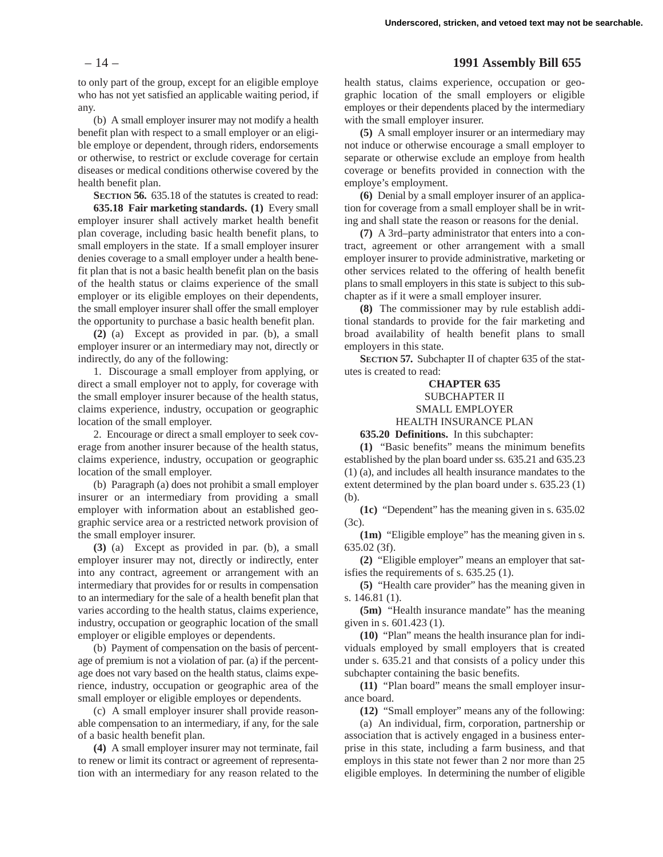– 14 – **1991 Assembly Bill 655**

to only part of the group, except for an eligible employe who has not yet satisfied an applicable waiting period, if any.

(b) A small employer insurer may not modify a health benefit plan with respect to a small employer or an eligible employe or dependent, through riders, endorsements or otherwise, to restrict or exclude coverage for certain diseases or medical conditions otherwise covered by the health benefit plan.

**SECTION 56.** 635.18 of the statutes is created to read: **635.18 Fair marketing standards. (1)** Every small

employer insurer shall actively market health benefit plan coverage, including basic health benefit plans, to small employers in the state. If a small employer insurer denies coverage to a small employer under a health benefit plan that is not a basic health benefit plan on the basis of the health status or claims experience of the small employer or its eligible employes on their dependents, the small employer insurer shall offer the small employer the opportunity to purchase a basic health benefit plan.

**(2)** (a) Except as provided in par. (b), a small employer insurer or an intermediary may not, directly or indirectly, do any of the following:

1. Discourage a small employer from applying, or direct a small employer not to apply, for coverage with the small employer insurer because of the health status, claims experience, industry, occupation or geographic location of the small employer.

2. Encourage or direct a small employer to seek coverage from another insurer because of the health status, claims experience, industry, occupation or geographic location of the small employer.

(b) Paragraph (a) does not prohibit a small employer insurer or an intermediary from providing a small employer with information about an established geographic service area or a restricted network provision of the small employer insurer.

**(3)** (a) Except as provided in par. (b), a small employer insurer may not, directly or indirectly, enter into any contract, agreement or arrangement with an intermediary that provides for or results in compensation to an intermediary for the sale of a health benefit plan that varies according to the health status, claims experience, industry, occupation or geographic location of the small employer or eligible employes or dependents.

(b) Payment of compensation on the basis of percentage of premium is not a violation of par. (a) if the percentage does not vary based on the health status, claims experience, industry, occupation or geographic area of the small employer or eligible employes or dependents.

(c) A small employer insurer shall provide reasonable compensation to an intermediary, if any, for the sale of a basic health benefit plan.

**(4)** A small employer insurer may not terminate, fail to renew or limit its contract or agreement of representation with an intermediary for any reason related to the health status, claims experience, occupation or geographic location of the small employers or eligible employes or their dependents placed by the intermediary with the small employer insurer.

**(5)** A small employer insurer or an intermediary may not induce or otherwise encourage a small employer to separate or otherwise exclude an employe from health coverage or benefits provided in connection with the employe's employment.

**(6)** Denial by a small employer insurer of an application for coverage from a small employer shall be in writing and shall state the reason or reasons for the denial.

**(7)** A 3rd–party administrator that enters into a contract, agreement or other arrangement with a small employer insurer to provide administrative, marketing or other services related to the offering of health benefit plans to small employers in this state is subject to this subchapter as if it were a small employer insurer.

**(8)** The commissioner may by rule establish additional standards to provide for the fair marketing and broad availability of health benefit plans to small employers in this state.

**SECTION 57.** Subchapter II of chapter 635 of the statutes is created to read:

# **CHAPTER 635** SUBCHAPTER II SMALL EMPLOYER

HEALTH INSURANCE PLAN

**635.20 Definitions.** In this subchapter:

**(1)** "Basic benefits" means the minimum benefits established by the plan board under ss. 635.21 and 635.23 (1) (a), and includes all health insurance mandates to the extent determined by the plan board under s. 635.23 (1) (b).

**(1c)** "Dependent" has the meaning given in s. 635.02 (3c).

**(1m)** "Eligible employe" has the meaning given in s. 635.02 (3f).

**(2)** "Eligible employer" means an employer that satisfies the requirements of s. 635.25 (1).

**(5)** "Health care provider" has the meaning given in s. 146.81 (1).

**(5m)** "Health insurance mandate" has the meaning given in s. 601.423 (1).

**(10)** "Plan" means the health insurance plan for individuals employed by small employers that is created under s. 635.21 and that consists of a policy under this subchapter containing the basic benefits.

**(11)** "Plan board" means the small employer insurance board.

**(12)** "Small employer" means any of the following:

(a) An individual, firm, corporation, partnership or association that is actively engaged in a business enterprise in this state, including a farm business, and that employs in this state not fewer than 2 nor more than 25 eligible employes. In determining the number of eligible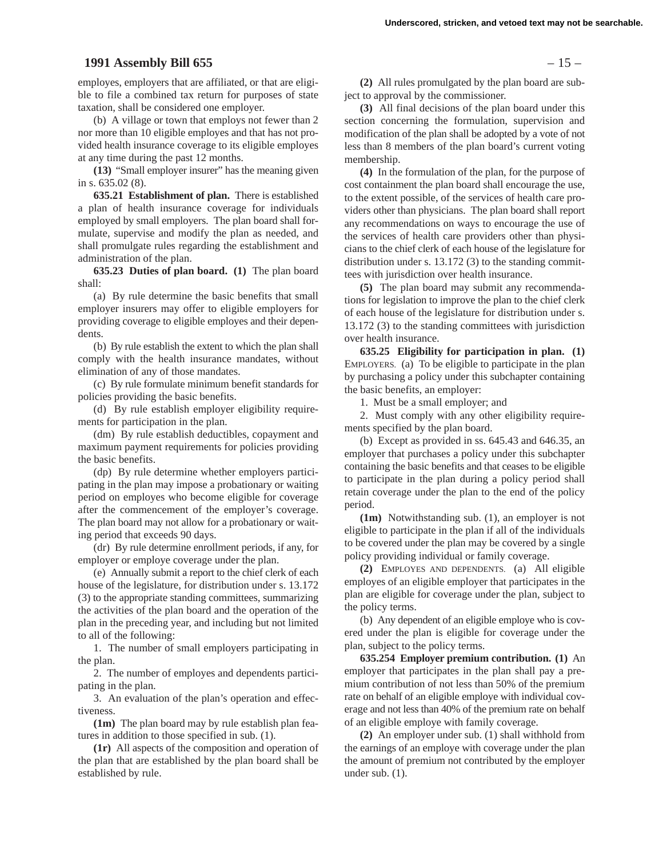# **1991 Assembly Bill 655** – 15 –

employes, employers that are affiliated, or that are eligible to file a combined tax return for purposes of state taxation, shall be considered one employer.

(b) A village or town that employs not fewer than 2 nor more than 10 eligible employes and that has not provided health insurance coverage to its eligible employes at any time during the past 12 months.

**(13)** "Small employer insurer" has the meaning given in s. 635.02 (8).

**635.21 Establishment of plan.** There is established a plan of health insurance coverage for individuals employed by small employers. The plan board shall formulate, supervise and modify the plan as needed, and shall promulgate rules regarding the establishment and administration of the plan.

**635.23 Duties of plan board. (1)** The plan board shall:

(a) By rule determine the basic benefits that small employer insurers may offer to eligible employers for providing coverage to eligible employes and their dependents.

(b) By rule establish the extent to which the plan shall comply with the health insurance mandates, without elimination of any of those mandates.

(c) By rule formulate minimum benefit standards for policies providing the basic benefits.

(d) By rule establish employer eligibility requirements for participation in the plan.

(dm) By rule establish deductibles, copayment and maximum payment requirements for policies providing the basic benefits.

(dp) By rule determine whether employers participating in the plan may impose a probationary or waiting period on employes who become eligible for coverage after the commencement of the employer's coverage. The plan board may not allow for a probationary or waiting period that exceeds 90 days.

(dr) By rule determine enrollment periods, if any, for employer or employe coverage under the plan.

(e) Annually submit a report to the chief clerk of each house of the legislature, for distribution under s. 13.172 (3) to the appropriate standing committees, summarizing the activities of the plan board and the operation of the plan in the preceding year, and including but not limited to all of the following:

1. The number of small employers participating in the plan.

2. The number of employes and dependents participating in the plan.

3. An evaluation of the plan's operation and effectiveness.

**(1m)** The plan board may by rule establish plan features in addition to those specified in sub. (1).

**(1r)** All aspects of the composition and operation of the plan that are established by the plan board shall be established by rule.

**(2)** All rules promulgated by the plan board are subject to approval by the commissioner.

**(3)** All final decisions of the plan board under this section concerning the formulation, supervision and modification of the plan shall be adopted by a vote of not less than 8 members of the plan board's current voting membership.

**(4)** In the formulation of the plan, for the purpose of cost containment the plan board shall encourage the use, to the extent possible, of the services of health care providers other than physicians. The plan board shall report any recommendations on ways to encourage the use of the services of health care providers other than physicians to the chief clerk of each house of the legislature for distribution under s. 13.172 (3) to the standing committees with jurisdiction over health insurance.

**(5)** The plan board may submit any recommendations for legislation to improve the plan to the chief clerk of each house of the legislature for distribution under s. 13.172 (3) to the standing committees with jurisdiction over health insurance.

**635.25 Eligibility for participation in plan. (1)** EMPLOYERS. (a) To be eligible to participate in the plan by purchasing a policy under this subchapter containing the basic benefits, an employer:

1. Must be a small employer; and

2. Must comply with any other eligibility requirements specified by the plan board.

(b) Except as provided in ss. 645.43 and 646.35, an employer that purchases a policy under this subchapter containing the basic benefits and that ceases to be eligible to participate in the plan during a policy period shall retain coverage under the plan to the end of the policy period.

**(1m)** Notwithstanding sub. (1), an employer is not eligible to participate in the plan if all of the individuals to be covered under the plan may be covered by a single policy providing individual or family coverage.

**(2)** EMPLOYES AND DEPENDENTS. (a) All eligible employes of an eligible employer that participates in the plan are eligible for coverage under the plan, subject to the policy terms.

(b) Any dependent of an eligible employe who is covered under the plan is eligible for coverage under the plan, subject to the policy terms.

**635.254 Employer premium contribution. (1)** An employer that participates in the plan shall pay a premium contribution of not less than 50% of the premium rate on behalf of an eligible employe with individual coverage and not less than 40% of the premium rate on behalf of an eligible employe with family coverage.

**(2)** An employer under sub. (1) shall withhold from the earnings of an employe with coverage under the plan the amount of premium not contributed by the employer under sub. (1).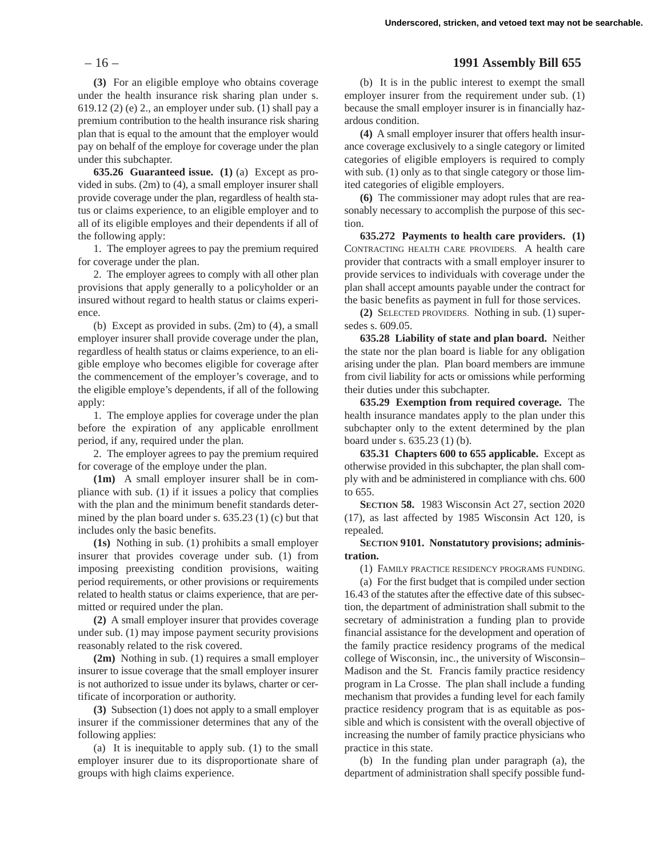**(3)** For an eligible employe who obtains coverage under the health insurance risk sharing plan under s. 619.12 (2) (e) 2., an employer under sub. (1) shall pay a premium contribution to the health insurance risk sharing plan that is equal to the amount that the employer would pay on behalf of the employe for coverage under the plan under this subchapter.

**635.26 Guaranteed issue. (1)** (a) Except as provided in subs. (2m) to (4), a small employer insurer shall provide coverage under the plan, regardless of health status or claims experience, to an eligible employer and to all of its eligible employes and their dependents if all of the following apply:

1. The employer agrees to pay the premium required for coverage under the plan.

2. The employer agrees to comply with all other plan provisions that apply generally to a policyholder or an insured without regard to health status or claims experience.

(b) Except as provided in subs. (2m) to (4), a small employer insurer shall provide coverage under the plan, regardless of health status or claims experience, to an eligible employe who becomes eligible for coverage after the commencement of the employer's coverage, and to the eligible employe's dependents, if all of the following apply:

1. The employe applies for coverage under the plan before the expiration of any applicable enrollment period, if any, required under the plan.

2. The employer agrees to pay the premium required for coverage of the employe under the plan.

**(1m)** A small employer insurer shall be in compliance with sub. (1) if it issues a policy that complies with the plan and the minimum benefit standards determined by the plan board under s. 635.23 (1) (c) but that includes only the basic benefits.

**(1s)** Nothing in sub. (1) prohibits a small employer insurer that provides coverage under sub. (1) from imposing preexisting condition provisions, waiting period requirements, or other provisions or requirements related to health status or claims experience, that are permitted or required under the plan.

**(2)** A small employer insurer that provides coverage under sub. (1) may impose payment security provisions reasonably related to the risk covered.

**(2m)** Nothing in sub. (1) requires a small employer insurer to issue coverage that the small employer insurer is not authorized to issue under its bylaws, charter or certificate of incorporation or authority.

**(3)** Subsection (1) does not apply to a small employer insurer if the commissioner determines that any of the following applies:

(a) It is inequitable to apply sub. (1) to the small employer insurer due to its disproportionate share of groups with high claims experience.

# – 16 – **1991 Assembly Bill 655**

(b) It is in the public interest to exempt the small employer insurer from the requirement under sub. (1) because the small employer insurer is in financially hazardous condition.

**(4)** A small employer insurer that offers health insurance coverage exclusively to a single category or limited categories of eligible employers is required to comply with sub. (1) only as to that single category or those limited categories of eligible employers.

**(6)** The commissioner may adopt rules that are reasonably necessary to accomplish the purpose of this section.

**635.272 Payments to health care providers. (1)** CONTRACTING HEALTH CARE PROVIDERS. A health care provider that contracts with a small employer insurer to provide services to individuals with coverage under the plan shall accept amounts payable under the contract for the basic benefits as payment in full for those services.

**(2)** SELECTED PROVIDERS. Nothing in sub. (1) supersedes s. 609.05.

**635.28 Liability of state and plan board.** Neither the state nor the plan board is liable for any obligation arising under the plan. Plan board members are immune from civil liability for acts or omissions while performing their duties under this subchapter.

**635.29 Exemption from required coverage.** The health insurance mandates apply to the plan under this subchapter only to the extent determined by the plan board under s. 635.23 (1) (b).

**635.31 Chapters 600 to 655 applicable.** Except as otherwise provided in this subchapter, the plan shall comply with and be administered in compliance with chs. 600 to 655.

**SECTION 58.** 1983 Wisconsin Act 27, section 2020 (17), as last affected by 1985 Wisconsin Act 120, is repealed.

**SECTION 9101. Nonstatutory provisions; administration.**

(1) FAMILY PRACTICE RESIDENCY PROGRAMS FUNDING.

(a) For the first budget that is compiled under section 16.43 of the statutes after the effective date of this subsection, the department of administration shall submit to the secretary of administration a funding plan to provide financial assistance for the development and operation of the family practice residency programs of the medical college of Wisconsin, inc., the university of Wisconsin– Madison and the St. Francis family practice residency program in La Crosse. The plan shall include a funding mechanism that provides a funding level for each family practice residency program that is as equitable as possible and which is consistent with the overall objective of increasing the number of family practice physicians who practice in this state.

(b) In the funding plan under paragraph (a), the department of administration shall specify possible fund-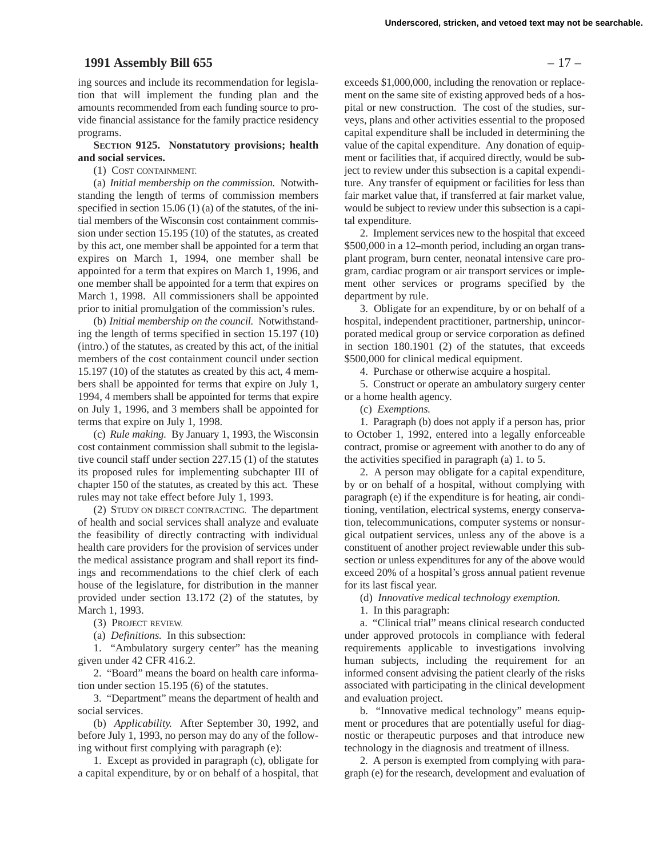## **1991 Assembly Bill 655** – 17 –

ing sources and include its recommendation for legislation that will implement the funding plan and the amounts recommended from each funding source to provide financial assistance for the family practice residency programs.

#### **SECTION 9125. Nonstatutory provisions; health and social services.**

#### (1) COST CONTAINMENT.

(a) *Initial membership on the commission.* Notwithstanding the length of terms of commission members specified in section 15.06 (1) (a) of the statutes, of the initial members of the Wisconsin cost containment commission under section 15.195 (10) of the statutes, as created by this act, one member shall be appointed for a term that expires on March 1, 1994, one member shall be appointed for a term that expires on March 1, 1996, and one member shall be appointed for a term that expires on March 1, 1998. All commissioners shall be appointed prior to initial promulgation of the commission's rules.

(b) *Initial membership on the council.* Notwithstanding the length of terms specified in section 15.197 (10) (intro.) of the statutes, as created by this act, of the initial members of the cost containment council under section 15.197 (10) of the statutes as created by this act, 4 members shall be appointed for terms that expire on July 1, 1994, 4 members shall be appointed for terms that expire on July 1, 1996, and 3 members shall be appointed for terms that expire on July 1, 1998.

(c) *Rule making.* By January 1, 1993, the Wisconsin cost containment commission shall submit to the legislative council staff under section 227.15 (1) of the statutes its proposed rules for implementing subchapter III of chapter 150 of the statutes, as created by this act. These rules may not take effect before July 1, 1993.

(2) STUDY ON DIRECT CONTRACTING. The department of health and social services shall analyze and evaluate the feasibility of directly contracting with individual health care providers for the provision of services under the medical assistance program and shall report its findings and recommendations to the chief clerk of each house of the legislature, for distribution in the manner provided under section 13.172 (2) of the statutes, by March 1, 1993.

(3) PROJECT REVIEW.

(a) *Definitions.* In this subsection:

1. "Ambulatory surgery center" has the meaning given under 42 CFR 416.2.

2. "Board" means the board on health care information under section 15.195 (6) of the statutes.

3. "Department" means the department of health and social services.

(b) *Applicability.* After September 30, 1992, and before July 1, 1993, no person may do any of the following without first complying with paragraph (e):

1. Except as provided in paragraph (c), obligate for a capital expenditure, by or on behalf of a hospital, that

exceeds \$1,000,000, including the renovation or replacement on the same site of existing approved beds of a hospital or new construction. The cost of the studies, surveys, plans and other activities essential to the proposed capital expenditure shall be included in determining the value of the capital expenditure. Any donation of equipment or facilities that, if acquired directly, would be subject to review under this subsection is a capital expenditure. Any transfer of equipment or facilities for less than fair market value that, if transferred at fair market value, would be subject to review under this subsection is a capital expenditure.

2. Implement services new to the hospital that exceed \$500,000 in a 12–month period, including an organ transplant program, burn center, neonatal intensive care program, cardiac program or air transport services or implement other services or programs specified by the department by rule.

3. Obligate for an expenditure, by or on behalf of a hospital, independent practitioner, partnership, unincorporated medical group or service corporation as defined in section 180.1901 (2) of the statutes, that exceeds \$500,000 for clinical medical equipment.

4. Purchase or otherwise acquire a hospital.

5. Construct or operate an ambulatory surgery center or a home health agency.

(c) *Exemptions.*

1. Paragraph (b) does not apply if a person has, prior to October 1, 1992, entered into a legally enforceable contract, promise or agreement with another to do any of the activities specified in paragraph (a) 1. to 5.

2. A person may obligate for a capital expenditure, by or on behalf of a hospital, without complying with paragraph (e) if the expenditure is for heating, air conditioning, ventilation, electrical systems, energy conservation, telecommunications, computer systems or nonsurgical outpatient services, unless any of the above is a constituent of another project reviewable under this subsection or unless expenditures for any of the above would exceed 20% of a hospital's gross annual patient revenue for its last fiscal year.

(d) *Innovative medical technology exemption.*

1. In this paragraph:

a. "Clinical trial" means clinical research conducted under approved protocols in compliance with federal requirements applicable to investigations involving human subjects, including the requirement for an informed consent advising the patient clearly of the risks associated with participating in the clinical development and evaluation project.

b. "Innovative medical technology" means equipment or procedures that are potentially useful for diagnostic or therapeutic purposes and that introduce new technology in the diagnosis and treatment of illness.

2. A person is exempted from complying with paragraph (e) for the research, development and evaluation of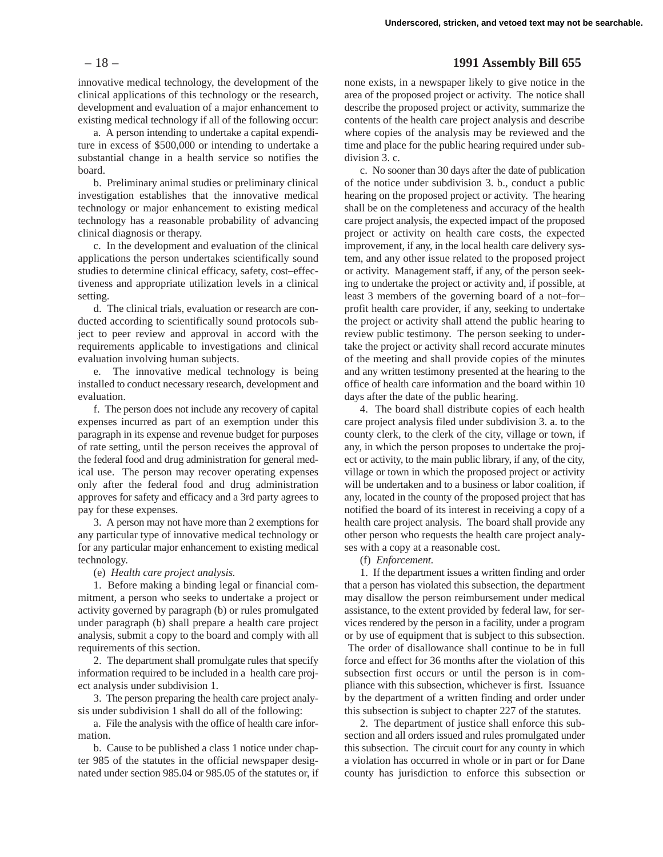– 18 – **1991 Assembly Bill 655**

innovative medical technology, the development of the clinical applications of this technology or the research, development and evaluation of a major enhancement to existing medical technology if all of the following occur:

a. A person intending to undertake a capital expenditure in excess of \$500,000 or intending to undertake a substantial change in a health service so notifies the board.

b. Preliminary animal studies or preliminary clinical investigation establishes that the innovative medical technology or major enhancement to existing medical technology has a reasonable probability of advancing clinical diagnosis or therapy.

c. In the development and evaluation of the clinical applications the person undertakes scientifically sound studies to determine clinical efficacy, safety, cost–effectiveness and appropriate utilization levels in a clinical setting.

d. The clinical trials, evaluation or research are conducted according to scientifically sound protocols subject to peer review and approval in accord with the requirements applicable to investigations and clinical evaluation involving human subjects.

e. The innovative medical technology is being installed to conduct necessary research, development and evaluation.

f. The person does not include any recovery of capital expenses incurred as part of an exemption under this paragraph in its expense and revenue budget for purposes of rate setting, until the person receives the approval of the federal food and drug administration for general medical use. The person may recover operating expenses only after the federal food and drug administration approves for safety and efficacy and a 3rd party agrees to pay for these expenses.

3. A person may not have more than 2 exemptions for any particular type of innovative medical technology or for any particular major enhancement to existing medical technology.

(e) *Health care project analysis.*

1. Before making a binding legal or financial commitment, a person who seeks to undertake a project or activity governed by paragraph (b) or rules promulgated under paragraph (b) shall prepare a health care project analysis, submit a copy to the board and comply with all requirements of this section.

2. The department shall promulgate rules that specify information required to be included in a health care project analysis under subdivision 1.

3. The person preparing the health care project analysis under subdivision 1 shall do all of the following:

a. File the analysis with the office of health care information.

b. Cause to be published a class 1 notice under chapter 985 of the statutes in the official newspaper designated under section 985.04 or 985.05 of the statutes or, if none exists, in a newspaper likely to give notice in the area of the proposed project or activity. The notice shall describe the proposed project or activity, summarize the contents of the health care project analysis and describe where copies of the analysis may be reviewed and the time and place for the public hearing required under subdivision 3. c.

c. No sooner than 30 days after the date of publication of the notice under subdivision 3. b., conduct a public hearing on the proposed project or activity. The hearing shall be on the completeness and accuracy of the health care project analysis, the expected impact of the proposed project or activity on health care costs, the expected improvement, if any, in the local health care delivery system, and any other issue related to the proposed project or activity. Management staff, if any, of the person seeking to undertake the project or activity and, if possible, at least 3 members of the governing board of a not–for– profit health care provider, if any, seeking to undertake the project or activity shall attend the public hearing to review public testimony. The person seeking to undertake the project or activity shall record accurate minutes of the meeting and shall provide copies of the minutes and any written testimony presented at the hearing to the office of health care information and the board within 10 days after the date of the public hearing.

4. The board shall distribute copies of each health care project analysis filed under subdivision 3. a. to the county clerk, to the clerk of the city, village or town, if any, in which the person proposes to undertake the project or activity, to the main public library, if any, of the city, village or town in which the proposed project or activity will be undertaken and to a business or labor coalition, if any, located in the county of the proposed project that has notified the board of its interest in receiving a copy of a health care project analysis. The board shall provide any other person who requests the health care project analyses with a copy at a reasonable cost.

(f) *Enforcement.*

1. If the department issues a written finding and order that a person has violated this subsection, the department may disallow the person reimbursement under medical assistance, to the extent provided by federal law, for services rendered by the person in a facility, under a program or by use of equipment that is subject to this subsection. The order of disallowance shall continue to be in full force and effect for 36 months after the violation of this subsection first occurs or until the person is in compliance with this subsection, whichever is first. Issuance by the department of a written finding and order under this subsection is subject to chapter 227 of the statutes.

2. The department of justice shall enforce this subsection and all orders issued and rules promulgated under this subsection. The circuit court for any county in which a violation has occurred in whole or in part or for Dane county has jurisdiction to enforce this subsection or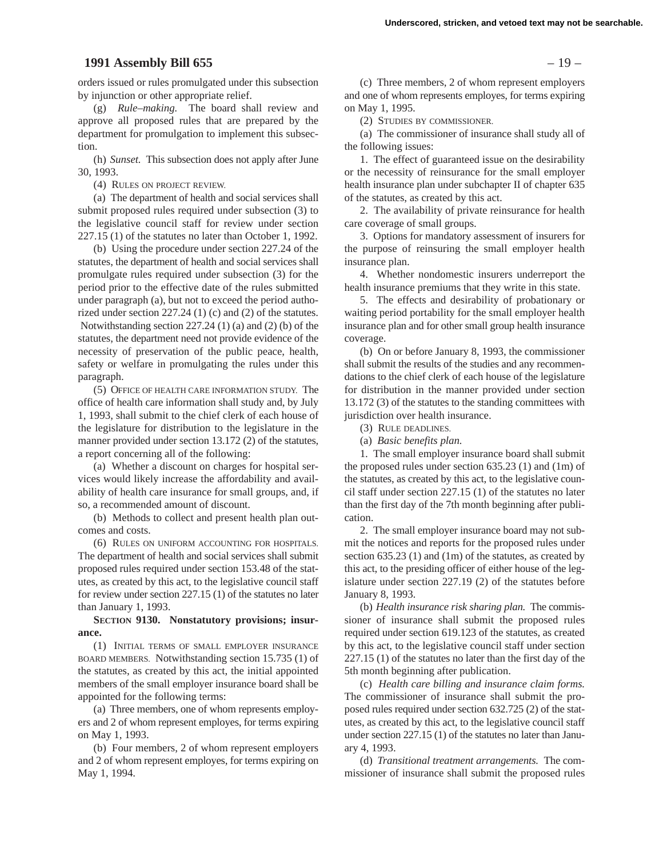## **1991 Assembly Bill 655** – 19 –

orders issued or rules promulgated under this subsection by injunction or other appropriate relief.

(g) *Rule–making.* The board shall review and approve all proposed rules that are prepared by the department for promulgation to implement this subsection.

(h) *Sunset.* This subsection does not apply after June 30, 1993.

(4) RULES ON PROJECT REVIEW.

(a) The department of health and social services shall submit proposed rules required under subsection (3) to the legislative council staff for review under section 227.15 (1) of the statutes no later than October 1, 1992.

(b) Using the procedure under section 227.24 of the statutes, the department of health and social services shall promulgate rules required under subsection (3) for the period prior to the effective date of the rules submitted under paragraph (a), but not to exceed the period authorized under section 227.24 (1) (c) and (2) of the statutes. Notwithstanding section 227.24 (1) (a) and (2) (b) of the statutes, the department need not provide evidence of the necessity of preservation of the public peace, health, safety or welfare in promulgating the rules under this paragraph.

(5) OFFICE OF HEALTH CARE INFORMATION STUDY. The office of health care information shall study and, by July 1, 1993, shall submit to the chief clerk of each house of the legislature for distribution to the legislature in the manner provided under section 13.172 (2) of the statutes, a report concerning all of the following:

(a) Whether a discount on charges for hospital services would likely increase the affordability and availability of health care insurance for small groups, and, if so, a recommended amount of discount.

(b) Methods to collect and present health plan outcomes and costs.

(6) RULES ON UNIFORM ACCOUNTING FOR HOSPITALS. The department of health and social services shall submit proposed rules required under section 153.48 of the statutes, as created by this act, to the legislative council staff for review under section 227.15 (1) of the statutes no later than January 1, 1993.

**SECTION 9130. Nonstatutory provisions; insurance.**

(1) INITIAL TERMS OF SMALL EMPLOYER INSURANCE BOARD MEMBERS. Notwithstanding section 15.735 (1) of the statutes, as created by this act, the initial appointed members of the small employer insurance board shall be appointed for the following terms:

(a) Three members, one of whom represents employers and 2 of whom represent employes, for terms expiring on May 1, 1993.

(b) Four members, 2 of whom represent employers and 2 of whom represent employes, for terms expiring on May 1, 1994.

(c) Three members, 2 of whom represent employers and one of whom represents employes, for terms expiring on May 1, 1995.

(2) STUDIES BY COMMISSIONER.

(a) The commissioner of insurance shall study all of the following issues:

1. The effect of guaranteed issue on the desirability or the necessity of reinsurance for the small employer health insurance plan under subchapter II of chapter 635 of the statutes, as created by this act.

2. The availability of private reinsurance for health care coverage of small groups.

3. Options for mandatory assessment of insurers for the purpose of reinsuring the small employer health insurance plan.

4. Whether nondomestic insurers underreport the health insurance premiums that they write in this state.

5. The effects and desirability of probationary or waiting period portability for the small employer health insurance plan and for other small group health insurance coverage.

(b) On or before January 8, 1993, the commissioner shall submit the results of the studies and any recommendations to the chief clerk of each house of the legislature for distribution in the manner provided under section 13.172 (3) of the statutes to the standing committees with jurisdiction over health insurance.

(3) RULE DEADLINES.

(a) *Basic benefits plan.*

1. The small employer insurance board shall submit the proposed rules under section 635.23 (1) and (1m) of the statutes, as created by this act, to the legislative council staff under section 227.15 (1) of the statutes no later than the first day of the 7th month beginning after publication.

2. The small employer insurance board may not submit the notices and reports for the proposed rules under section 635.23 (1) and (1m) of the statutes, as created by this act, to the presiding officer of either house of the legislature under section 227.19 (2) of the statutes before January 8, 1993.

(b) *Health insurance risk sharing plan.* The commissioner of insurance shall submit the proposed rules required under section 619.123 of the statutes, as created by this act, to the legislative council staff under section 227.15 (1) of the statutes no later than the first day of the 5th month beginning after publication.

(c) *Health care billing and insurance claim forms.* The commissioner of insurance shall submit the proposed rules required under section 632.725 (2) of the statutes, as created by this act, to the legislative council staff under section 227.15 (1) of the statutes no later than January 4, 1993.

(d) *Transitional treatment arrangements.* The commissioner of insurance shall submit the proposed rules